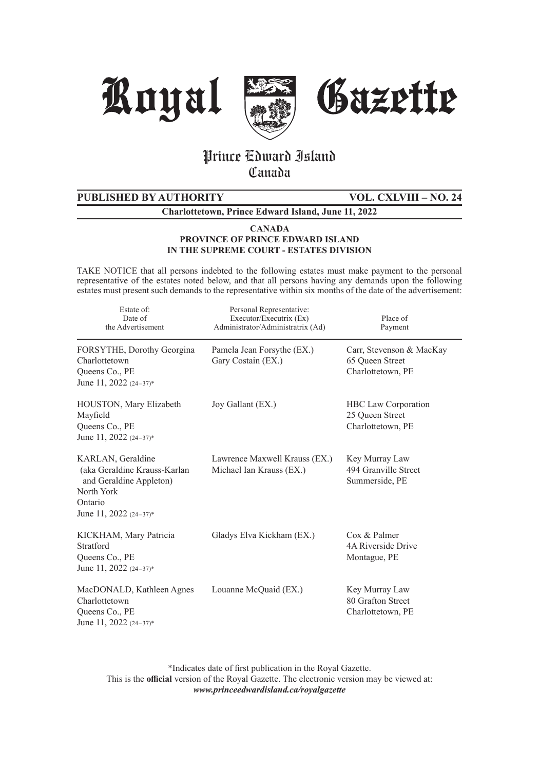





# Prince Edward Island **Canada**

# **PUBLISHED BY AUTHORITY VOL. CXLVIII – NO. 24**

**Charlottetown, Prince Edward Island, June 11, 2022**

#### **CANADA PROVINCE OF PRINCE EDWARD ISLAND IN THE SUPREME COURT - ESTATES DIVISION**

TAKE NOTICE that all persons indebted to the following estates must make payment to the personal representative of the estates noted below, and that all persons having any demands upon the following estates must present such demands to the representative within six months of the date of the advertisement:

| Estate of:<br>Date of<br>the Advertisement                                                                                         | Personal Representative:<br>Executor/Executrix (Ex)<br>Administrator/Administratrix (Ad) | Place of<br>Payment                                                |
|------------------------------------------------------------------------------------------------------------------------------------|------------------------------------------------------------------------------------------|--------------------------------------------------------------------|
| FORSYTHE, Dorothy Georgina<br>Charlottetown<br>Queens Co., PE<br>June 11, 2022 $(24-37)^*$                                         | Pamela Jean Forsythe (EX.)<br>Gary Costain (EX.)                                         | Carr, Stevenson & MacKay<br>65 Oueen Street<br>Charlottetown, PE   |
| HOUSTON, Mary Elizabeth<br>Mayfield<br>Queens Co., PE<br>June 11, 2022 (24-37)*                                                    | Joy Gallant (EX.)                                                                        | <b>HBC</b> Law Corporation<br>25 Queen Street<br>Charlottetown, PE |
| KARLAN, Geraldine<br>(aka Geraldine Krauss-Karlan<br>and Geraldine Appleton)<br>North York<br>Ontario<br>June 11, 2022 $(24-37)^*$ | Lawrence Maxwell Krauss (EX.)<br>Michael Ian Krauss (EX.)                                | Key Murray Law<br>494 Granville Street<br>Summerside, PE           |
| KICKHAM, Mary Patricia<br>Stratford<br>Queens Co., PE<br>June 11, 2022 (24-37)*                                                    | Gladys Elva Kickham (EX.)                                                                | Cox & Palmer<br>4A Riverside Drive<br>Montague, PE                 |
| MacDONALD, Kathleen Agnes<br>Charlottetown<br>Queens Co., PE<br>June 11, 2022 $(24-37)^*$                                          | Louanne McQuaid (EX.)                                                                    | Key Murray Law<br>80 Grafton Street<br>Charlottetown, PE           |

\*Indicates date of first publication in the Royal Gazette. This is the **official** version of the Royal Gazette. The electronic version may be viewed at: *www.princeedwardisland.ca/royalgazette*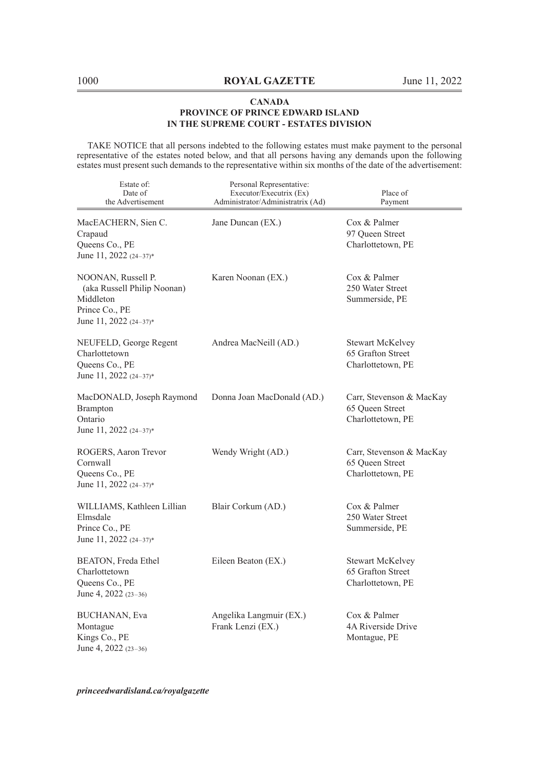TAKE NOTICE that all persons indebted to the following estates must make payment to the personal representative of the estates noted below, and that all persons having any demands upon the following estates must present such demands to the representative within six months of the date of the advertisement:

| Estate of:<br>Date of<br>the Advertisement                                                                 | Personal Representative:<br>Executor/Executrix (Ex)<br>Administrator/Administratrix (Ad) | Place of<br>Payment                                               |
|------------------------------------------------------------------------------------------------------------|------------------------------------------------------------------------------------------|-------------------------------------------------------------------|
| MacEACHERN, Sien C.<br>Crapaud<br>Queens Co., PE<br>June 11, 2022 (24-37)*                                 | Jane Duncan (EX.)                                                                        | Cox & Palmer<br>97 Queen Street<br>Charlottetown, PE              |
| NOONAN, Russell P.<br>(aka Russell Philip Noonan)<br>Middleton<br>Prince Co., PE<br>June 11, 2022 (24-37)* | Karen Noonan (EX.)                                                                       | $\cos \&$ Palmer<br>250 Water Street<br>Summerside, PE            |
| NEUFELD, George Regent<br>Charlottetown<br>Queens Co., PE<br>June 11, 2022 (24-37)*                        | Andrea MacNeill (AD.)                                                                    | <b>Stewart McKelvey</b><br>65 Grafton Street<br>Charlottetown, PE |
| MacDONALD, Joseph Raymond<br><b>Brampton</b><br>Ontario<br>June 11, 2022 (24-37)*                          | Donna Joan MacDonald (AD.)                                                               | Carr, Stevenson & MacKay<br>65 Queen Street<br>Charlottetown, PE  |
| ROGERS, Aaron Trevor<br>Cornwall<br>Queens Co., PE<br>June 11, 2022 (24-37)*                               | Wendy Wright (AD.)                                                                       | Carr, Stevenson & MacKay<br>65 Queen Street<br>Charlottetown, PE  |
| WILLIAMS, Kathleen Lillian<br>Elmsdale<br>Prince Co., PE<br>June 11, 2022 (24-37)*                         | Blair Corkum (AD.)                                                                       | Cox & Palmer<br>250 Water Street<br>Summerside, PE                |
| BEATON, Freda Ethel<br>Charlottetown<br>Queens Co., PE<br>June 4, 2022 (23-36)                             | Eileen Beaton (EX.)                                                                      | Stewart McKelvey<br>65 Grafton Street<br>Charlottetown, PE        |
| BUCHANAN, Eva<br>Montague<br>Kings Co., PE<br>June 4, 2022 (23-36)                                         | Angelika Langmuir (EX.)<br>Frank Lenzi (EX.)                                             | $\cos \&$ Palmer<br>4A Riverside Drive<br>Montague, PE            |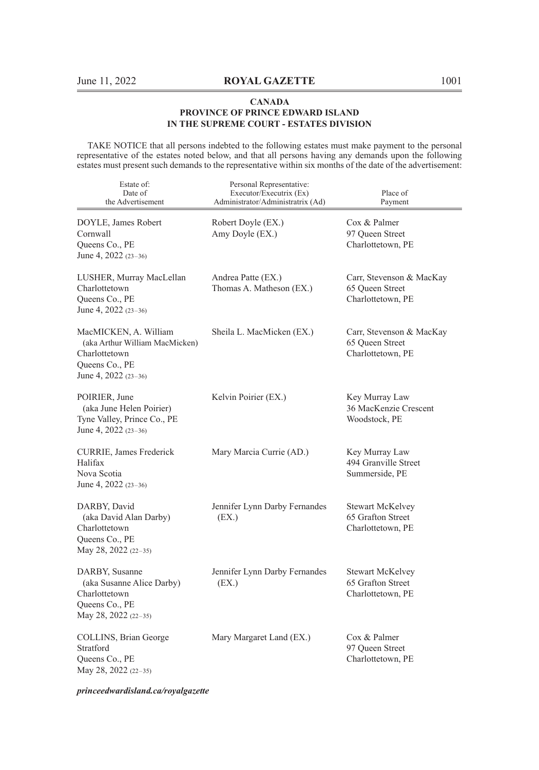TAKE NOTICE that all persons indebted to the following estates must make payment to the personal representative of the estates noted below, and that all persons having any demands upon the following estates must present such demands to the representative within six months of the date of the advertisement:

| Estate of:<br>Date of<br>the Advertisement                                                                         | Personal Representative:<br>Executor/Executrix (Ex)<br>Administrator/Administratrix (Ad) | Place of<br>Payment                                               |
|--------------------------------------------------------------------------------------------------------------------|------------------------------------------------------------------------------------------|-------------------------------------------------------------------|
| DOYLE, James Robert<br>Cornwall<br>Queens Co., PE<br>June 4, 2022 $(23-36)$                                        | Robert Doyle (EX.)<br>Amy Doyle (EX.)                                                    | Cox & Palmer<br>97 Queen Street<br>Charlottetown, PE              |
| LUSHER, Murray MacLellan<br>Charlottetown<br>Queens Co., PE<br>June 4, 2022 $(23-36)$                              | Andrea Patte (EX.)<br>Thomas A. Matheson (EX.)                                           | Carr, Stevenson & MacKay<br>65 Queen Street<br>Charlottetown, PE  |
| MacMICKEN, A. William<br>(aka Arthur William MacMicken)<br>Charlottetown<br>Queens Co., PE<br>June 4, 2022 (23-36) | Sheila L. MacMicken (EX.)                                                                | Carr, Stevenson & MacKay<br>65 Queen Street<br>Charlottetown, PE  |
| POIRIER, June<br>(aka June Helen Poirier)<br>Tyne Valley, Prince Co., PE<br>June 4, 2022 (23-36)                   | Kelvin Poirier (EX.)                                                                     | Key Murray Law<br>36 MacKenzie Crescent<br>Woodstock, PE          |
| CURRIE, James Frederick<br>Halifax<br>Nova Scotia<br>June 4, 2022 (23-36)                                          | Mary Marcia Currie (AD.)                                                                 | Key Murray Law<br>494 Granville Street<br>Summerside, PE          |
| DARBY, David<br>(aka David Alan Darby)<br>Charlottetown<br>Queens Co., PE<br>May 28, 2022 (22–35)                  | Jennifer Lynn Darby Fernandes<br>(EX.)                                                   | <b>Stewart McKelvey</b><br>65 Grafton Street<br>Charlottetown, PE |
| DARBY, Susanne<br>(aka Susanne Alice Darby)<br>Charlottetown<br>Queens Co., PE<br>May 28, 2022 (22-35)             | Jennifer Lynn Darby Fernandes<br>(EX.)                                                   | Stewart McKelvey<br>65 Grafton Street<br>Charlottetown, PE        |
| COLLINS, Brian George<br>Stratford<br>Queens Co., PE<br>May 28, 2022 (22-35)                                       | Mary Margaret Land (EX.)                                                                 | Cox & Palmer<br>97 Oueen Street<br>Charlottetown, PE              |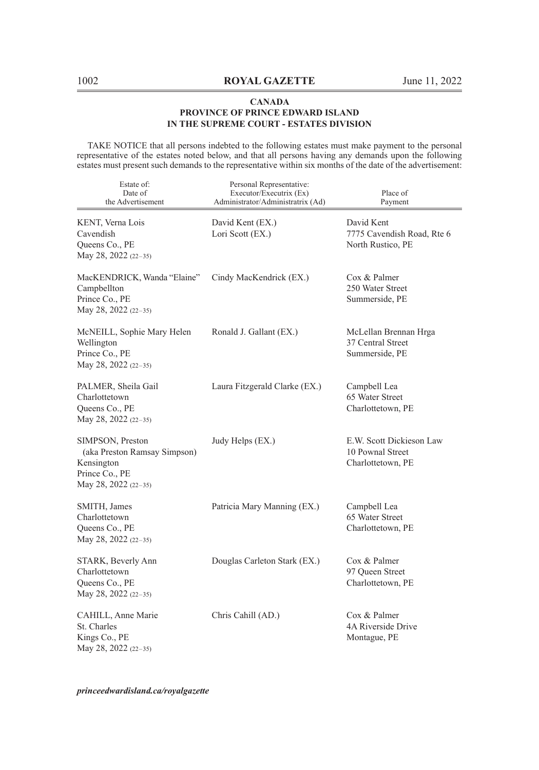TAKE NOTICE that all persons indebted to the following estates must make payment to the personal representative of the estates noted below, and that all persons having any demands upon the following estates must present such demands to the representative within six months of the date of the advertisement:

| Estate of:<br>Date of<br>the Advertisement                                                               | Personal Representative:<br>Executor/Executrix (Ex)<br>Administrator/Administratrix (Ad) | Place of<br>Payment                                               |
|----------------------------------------------------------------------------------------------------------|------------------------------------------------------------------------------------------|-------------------------------------------------------------------|
| KENT, Verna Lois<br>Cavendish<br>Queens Co., PE<br>May 28, 2022 (22-35)                                  | David Kent (EX.)<br>Lori Scott (EX.)                                                     | David Kent<br>7775 Cavendish Road, Rte 6<br>North Rustico, PE     |
| MacKENDRICK, Wanda "Elaine"<br>Campbellton<br>Prince Co., PE<br>May 28, 2022 (22-35)                     | Cindy MacKendrick (EX.)                                                                  | Cox & Palmer<br>250 Water Street<br>Summerside, PE                |
| McNEILL, Sophie Mary Helen<br>Wellington<br>Prince Co., PE<br>May 28, 2022 (22-35)                       | Ronald J. Gallant (EX.)                                                                  | McLellan Brennan Hrga<br>37 Central Street<br>Summerside, PE      |
| PALMER, Sheila Gail<br>Charlottetown<br>Queens Co., PE<br>May 28, 2022 (22-35)                           | Laura Fitzgerald Clarke (EX.)                                                            | Campbell Lea<br>65 Water Street<br>Charlottetown, PE              |
| SIMPSON, Preston<br>(aka Preston Ramsay Simpson)<br>Kensington<br>Prince Co., PE<br>May 28, 2022 (22-35) | Judy Helps (EX.)                                                                         | E.W. Scott Dickieson Law<br>10 Pownal Street<br>Charlottetown, PE |
| SMITH, James<br>Charlottetown<br>Queens Co., PE<br>May 28, 2022 (22-35)                                  | Patricia Mary Manning (EX.)                                                              | Campbell Lea<br>65 Water Street<br>Charlottetown, PE              |
| STARK, Beverly Ann<br>Charlottetown<br>Queens Co., PE<br>May 28, 2022 (22-35)                            | Douglas Carleton Stark (EX.)                                                             | Cox & Palmer<br>97 Queen Street<br>Charlottetown, PE              |
| CAHILL, Anne Marie<br>St. Charles<br>Kings Co., PE<br>May 28, 2022 (22-35)                               | Chris Cahill (AD.)                                                                       | Cox & Palmer<br>4A Riverside Drive<br>Montague, PE                |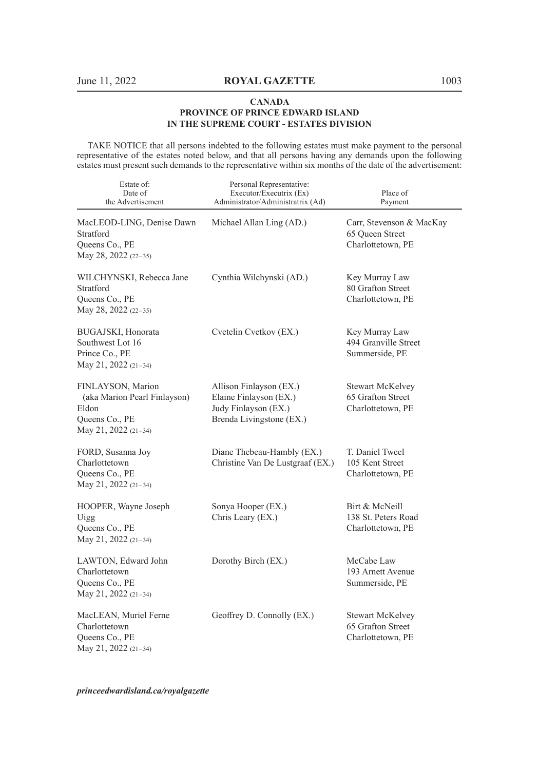TAKE NOTICE that all persons indebted to the following estates must make payment to the personal representative of the estates noted below, and that all persons having any demands upon the following estates must present such demands to the representative within six months of the date of the advertisement:

| Estate of:<br>Date of<br>the Advertisement                                                           | Personal Representative:<br>Executor/Executrix (Ex)<br>Administrator/Administratrix (Ad)              | Place of<br>Payment                                               |
|------------------------------------------------------------------------------------------------------|-------------------------------------------------------------------------------------------------------|-------------------------------------------------------------------|
| MacLEOD-LING, Denise Dawn<br>Stratford<br>Queens Co., PE<br>May 28, 2022 (22-35)                     | Michael Allan Ling (AD.)                                                                              | Carr, Stevenson & MacKay<br>65 Oueen Street<br>Charlottetown, PE  |
| WILCHYNSKI, Rebecca Jane<br>Stratford<br>Queens Co., PE<br>May 28, 2022 (22-35)                      | Cynthia Wilchynski (AD.)                                                                              | Key Murray Law<br>80 Grafton Street<br>Charlottetown, PE          |
| BUGAJSKI, Honorata<br>Southwest Lot 16<br>Prince Co., PE<br>May 21, 2022 (21-34)                     | Cvetelin Cvetkov (EX.)                                                                                | Key Murray Law<br>494 Granville Street<br>Summerside, PE          |
| FINLAYSON, Marion<br>(aka Marion Pearl Finlayson)<br>Eldon<br>Queens Co., PE<br>May 21, 2022 (21-34) | Allison Finlayson (EX.)<br>Elaine Finlayson (EX.)<br>Judy Finlayson (EX.)<br>Brenda Livingstone (EX.) | Stewart McKelvey<br>65 Grafton Street<br>Charlottetown, PE        |
| FORD, Susanna Joy<br>Charlottetown<br>Queens Co., PE<br>May 21, 2022 (21-34)                         | Diane Thebeau-Hambly (EX.)<br>Christine Van De Lustgraaf (EX.)                                        | T. Daniel Tweel<br>105 Kent Street<br>Charlottetown, PE           |
| HOOPER, Wayne Joseph<br>Uigg<br>Queens Co., PE<br>May 21, 2022 (21-34)                               | Sonya Hooper (EX.)<br>Chris Leary (EX.)                                                               | Birt & McNeill<br>138 St. Peters Road<br>Charlottetown, PE        |
| LAWTON, Edward John<br>Charlottetown<br>Queens Co., PE<br>May 21, 2022 (21-34)                       | Dorothy Birch (EX.)                                                                                   | McCabe Law<br>193 Arnett Avenue<br>Summerside, PE                 |
| MacLEAN, Muriel Ferne<br>Charlottetown<br>Queens Co., PE<br>May 21, 2022 (21-34)                     | Geoffrey D. Connolly (EX.)                                                                            | <b>Stewart McKelvey</b><br>65 Grafton Street<br>Charlottetown, PE |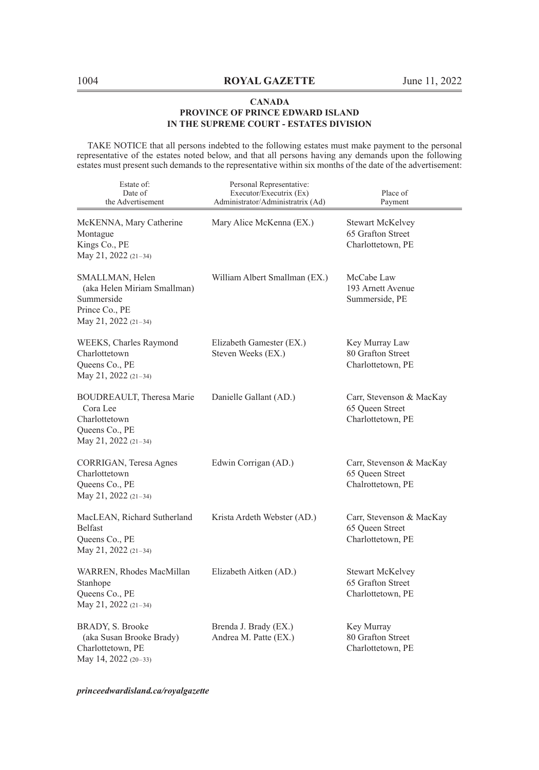TAKE NOTICE that all persons indebted to the following estates must make payment to the personal representative of the estates noted below, and that all persons having any demands upon the following estates must present such demands to the representative within six months of the date of the advertisement:

| Estate of:<br>Date of<br>the Advertisement                                                             | Personal Representative:<br>Executor/Executrix (Ex)<br>Administrator/Administratrix (Ad) | Place of<br>Payment                                              |
|--------------------------------------------------------------------------------------------------------|------------------------------------------------------------------------------------------|------------------------------------------------------------------|
| McKENNA, Mary Catherine<br>Montague<br>Kings Co., PE<br>May 21, 2022 (21-34)                           | Mary Alice McKenna (EX.)                                                                 | Stewart McKelvey<br>65 Grafton Street<br>Charlottetown, PE       |
| SMALLMAN, Helen<br>(aka Helen Miriam Smallman)<br>Summerside<br>Prince Co., PE<br>May 21, 2022 (21-34) | William Albert Smallman (EX.)                                                            | McCabe Law<br>193 Arnett Avenue<br>Summerside, PE                |
| WEEKS, Charles Raymond<br>Charlottetown<br>Queens Co., PE<br>May 21, 2022 (21-34)                      | Elizabeth Gamester (EX.)<br>Steven Weeks (EX.)                                           | Key Murray Law<br>80 Grafton Street<br>Charlottetown, PE         |
| BOUDREAULT, Theresa Marie<br>Cora Lee<br>Charlottetown<br>Queens Co., PE<br>May 21, 2022 (21-34)       | Danielle Gallant (AD.)                                                                   | Carr, Stevenson & MacKay<br>65 Queen Street<br>Charlottetown, PE |
| CORRIGAN, Teresa Agnes<br>Charlottetown<br>Queens Co., PE<br>May 21, 2022 (21-34)                      | Edwin Corrigan (AD.)                                                                     | Carr, Stevenson & MacKay<br>65 Queen Street<br>Chalrottetown, PE |
| MacLEAN, Richard Sutherland<br>Belfast<br>Queens Co., PE<br>May 21, 2022 (21-34)                       | Krista Ardeth Webster (AD.)                                                              | Carr, Stevenson & MacKay<br>65 Queen Street<br>Charlottetown, PE |
| WARREN, Rhodes MacMillan<br>Stanhope<br>Queens Co., PE<br>May 21, 2022 (21-34)                         | Elizabeth Aitken (AD.)                                                                   | Stewart McKelvey<br>65 Grafton Street<br>Charlottetown, PE       |
| BRADY, S. Brooke<br>(aka Susan Brooke Brady)<br>Charlottetown, PE<br>May 14, 2022 (20-33)              | Brenda J. Brady (EX.)<br>Andrea M. Patte (EX.)                                           | Key Murray<br>80 Grafton Street<br>Charlottetown, PE             |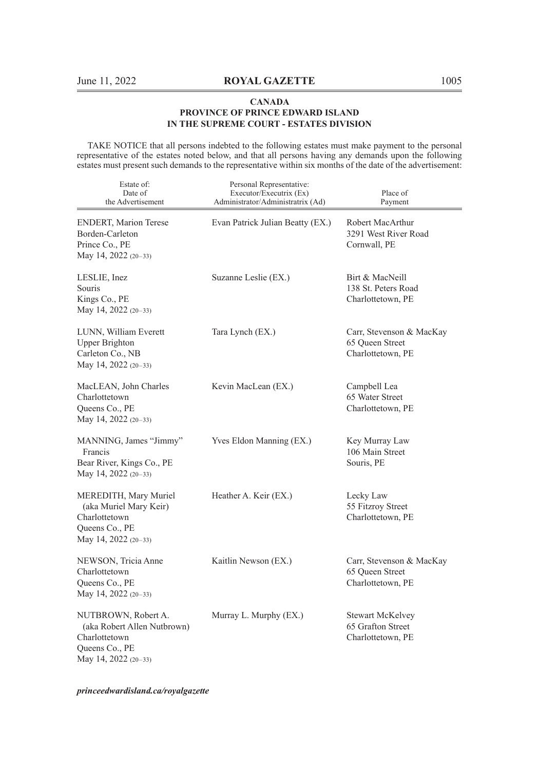TAKE NOTICE that all persons indebted to the following estates must make payment to the personal representative of the estates noted below, and that all persons having any demands upon the following estates must present such demands to the representative within six months of the date of the advertisement:

| Estate of:<br>Date of<br>the Advertisement                                                                    | Personal Representative:<br>Executor/Executrix (Ex)<br>Administrator/Administratrix (Ad) | Place of<br>Payment                                               |
|---------------------------------------------------------------------------------------------------------------|------------------------------------------------------------------------------------------|-------------------------------------------------------------------|
| <b>ENDERT, Marion Terese</b><br>Borden-Carleton<br>Prince Co., PE<br>May 14, 2022 (20-33)                     | Evan Patrick Julian Beatty (EX.)                                                         | Robert MacArthur<br>3291 West River Road<br>Cornwall, PE          |
| LESLIE, Inez<br>Souris<br>Kings Co., PE<br>May 14, 2022 (20-33)                                               | Suzanne Leslie (EX.)                                                                     | Birt & MacNeill<br>138 St. Peters Road<br>Charlottetown, PE       |
| LUNN, William Everett<br>Upper Brighton<br>Carleton Co., NB<br>May 14, 2022 (20-33)                           | Tara Lynch (EX.)                                                                         | Carr, Stevenson & MacKay<br>65 Queen Street<br>Charlottetown, PE  |
| MacLEAN, John Charles<br>Charlottetown<br>Queens Co., PE<br>May 14, 2022 (20-33)                              | Kevin MacLean (EX.)                                                                      | Campbell Lea<br>65 Water Street<br>Charlottetown, PE              |
| MANNING, James "Jimmy"<br>Francis<br>Bear River, Kings Co., PE<br>May 14, 2022 (20-33)                        | Yves Eldon Manning (EX.)                                                                 | Key Murray Law<br>106 Main Street<br>Souris, PE                   |
| MEREDITH, Mary Muriel<br>(aka Muriel Mary Keir)<br>Charlottetown<br>Queens Co., PE<br>May 14, 2022 (20-33)    | Heather A. Keir (EX.)                                                                    | Lecky Law<br>55 Fitzroy Street<br>Charlottetown, PE               |
| NEWSON, Tricia Anne<br>Charlottetown<br>Queens Co., PE<br>May 14, 2022 (20-33)                                | Kaitlin Newson (EX.)                                                                     | Carr, Stevenson & MacKay<br>65 Queen Street<br>Charlottetown, PE  |
| NUTBROWN, Robert A.<br>(aka Robert Allen Nutbrown)<br>Charlottetown<br>Queens Co., PE<br>May 14, 2022 (20-33) | Murray L. Murphy (EX.)                                                                   | <b>Stewart McKelvey</b><br>65 Grafton Street<br>Charlottetown, PE |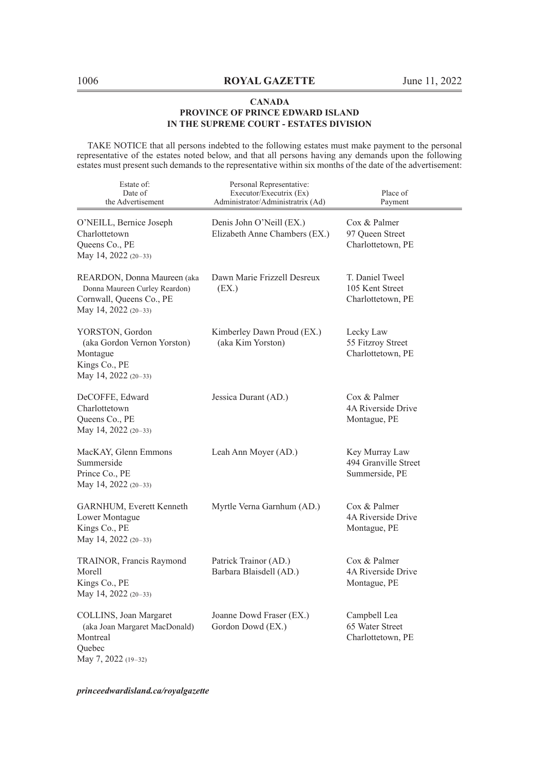TAKE NOTICE that all persons indebted to the following estates must make payment to the personal representative of the estates noted below, and that all persons having any demands upon the following estates must present such demands to the representative within six months of the date of the advertisement:

| Estate of:<br>Date of<br>the Advertisement                                                                       | Personal Representative:<br>Executor/Executrix (Ex)<br>Administrator/Administratrix (Ad) | Place of<br>Payment                                      |
|------------------------------------------------------------------------------------------------------------------|------------------------------------------------------------------------------------------|----------------------------------------------------------|
| O'NEILL, Bernice Joseph<br>Charlottetown<br>Queens Co., PE<br>May 14, 2022 (20-33)                               | Denis John O'Neill (EX.)<br>Elizabeth Anne Chambers (EX.)                                | Cox & Palmer<br>97 Queen Street<br>Charlottetown, PE     |
| REARDON, Donna Maureen (aka<br>Donna Maureen Curley Reardon)<br>Cornwall, Queens Co., PE<br>May 14, 2022 (20-33) | Dawn Marie Frizzell Desreux<br>(EX.)                                                     | T. Daniel Tweel<br>105 Kent Street<br>Charlottetown, PE  |
| YORSTON, Gordon<br>(aka Gordon Vernon Yorston)<br>Montague<br>Kings Co., PE<br>May 14, 2022 (20-33)              | Kimberley Dawn Proud (EX.)<br>(aka Kim Yorston)                                          | Lecky Law<br>55 Fitzroy Street<br>Charlottetown, PE      |
| DeCOFFE, Edward<br>Charlottetown<br>Queens Co., PE<br>May 14, 2022 (20-33)                                       | Jessica Durant (AD.)                                                                     | Cox & Palmer<br>4A Riverside Drive<br>Montague, PE       |
| MacKAY, Glenn Emmons<br>Summerside<br>Prince Co., PE<br>May 14, 2022 (20-33)                                     | Leah Ann Moyer (AD.)                                                                     | Key Murray Law<br>494 Granville Street<br>Summerside, PE |
| GARNHUM, Everett Kenneth<br>Lower Montague<br>Kings Co., PE<br>May 14, 2022 $(20-33)$                            | Myrtle Verna Garnhum (AD.)                                                               | Cox & Palmer<br>4A Riverside Drive<br>Montague, PE       |
| TRAINOR, Francis Raymond<br>Morell<br>Kings Co., PE<br>May 14, 2022 (20-33)                                      | Patrick Trainor (AD.)<br>Barbara Blaisdell (AD.)                                         | Cox & Palmer<br>4A Riverside Drive<br>Montague, PE       |
| COLLINS, Joan Margaret<br>(aka Joan Margaret MacDonald)<br>Montreal<br>Ouebec<br>May 7, 2022 (19-32)             | Joanne Dowd Fraser (EX.)<br>Gordon Dowd (EX.)                                            | Campbell Lea<br>65 Water Street<br>Charlottetown, PE     |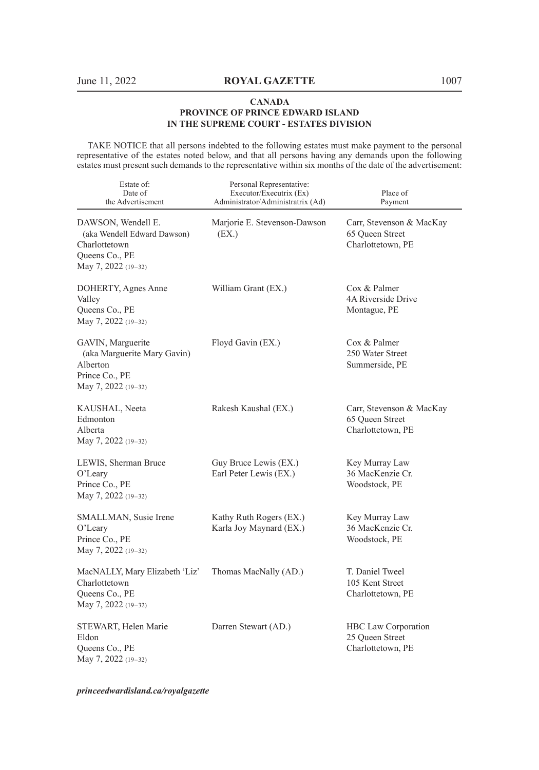TAKE NOTICE that all persons indebted to the following estates must make payment to the personal representative of the estates noted below, and that all persons having any demands upon the following estates must present such demands to the representative within six months of the date of the advertisement:

| Estate of:<br>Date of<br>the Advertisement                                                                  | Personal Representative:<br>Executor/Executrix (Ex)<br>Administrator/Administratrix (Ad) | Place of<br>Payment                                              |
|-------------------------------------------------------------------------------------------------------------|------------------------------------------------------------------------------------------|------------------------------------------------------------------|
| DAWSON, Wendell E.<br>(aka Wendell Edward Dawson)<br>Charlottetown<br>Queens Co., PE<br>May 7, 2022 (19-32) | Marjorie E. Stevenson-Dawson<br>(EX.)                                                    | Carr, Stevenson & MacKay<br>65 Queen Street<br>Charlottetown, PE |
| DOHERTY, Agnes Anne<br>Valley<br>Queens Co., PE<br>May 7, 2022 (19–32)                                      | William Grant (EX.)                                                                      | Cox & Palmer<br>4A Riverside Drive<br>Montague, PE               |
| GAVIN, Marguerite<br>(aka Marguerite Mary Gavin)<br>Alberton<br>Prince Co., PE<br>May 7, 2022 (19-32)       | Floyd Gavin (EX.)                                                                        | Cox & Palmer<br>250 Water Street<br>Summerside, PE               |
| KAUSHAL, Neeta<br>Edmonton<br>Alberta<br>May 7, 2022 (19-32)                                                | Rakesh Kaushal (EX.)                                                                     | Carr, Stevenson & MacKay<br>65 Queen Street<br>Charlottetown, PE |
| LEWIS, Sherman Bruce<br>O'Leary<br>Prince Co., PE<br>May 7, 2022 (19-32)                                    | Guy Bruce Lewis (EX.)<br>Earl Peter Lewis (EX.)                                          | Key Murray Law<br>36 MacKenzie Cr.<br>Woodstock, PE              |
| SMALLMAN, Susie Irene<br>O'Leary<br>Prince Co., PE<br>May 7, 2022 (19-32)                                   | Kathy Ruth Rogers (EX.)<br>Karla Joy Maynard (EX.)                                       | Key Murray Law<br>36 MacKenzie Cr.<br>Woodstock, PE              |
| MacNALLY, Mary Elizabeth 'Liz'<br>Charlottetown<br>Queens Co., PE<br>May 7, 2022 (19-32)                    | Thomas MacNally (AD.)                                                                    | T. Daniel Tweel<br>105 Kent Street<br>Charlottetown, PE          |
| STEWART, Helen Marie<br>Eldon<br>Queens Co., PE<br>May 7, 2022 (19-32)                                      | Darren Stewart (AD.)                                                                     | HBC Law Corporation<br>25 Queen Street<br>Charlottetown, PE      |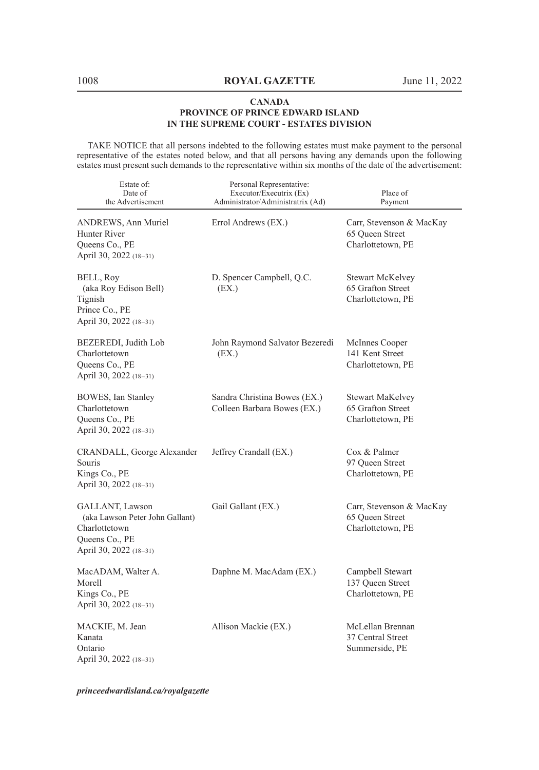TAKE NOTICE that all persons indebted to the following estates must make payment to the personal representative of the estates noted below, and that all persons having any demands upon the following estates must present such demands to the representative within six months of the date of the advertisement:

| Estate of:<br>Date of<br>the Advertisement                                                                      | Personal Representative:<br>Executor/Executrix (Ex)<br>Administrator/Administratrix (Ad) | Place of<br>Payment                                              |
|-----------------------------------------------------------------------------------------------------------------|------------------------------------------------------------------------------------------|------------------------------------------------------------------|
| ANDREWS, Ann Muriel<br>Hunter River<br>Queens Co., PE<br>April 30, 2022 (18–31)                                 | Errol Andrews (EX.)                                                                      | Carr, Stevenson & MacKay<br>65 Queen Street<br>Charlottetown, PE |
| BELL, Roy<br>(aka Roy Edison Bell)<br>Tignish<br>Prince Co., PE<br>April 30, 2022 (18-31)                       | D. Spencer Campbell, Q.C.<br>(EX.)                                                       | Stewart McKelvey<br>65 Grafton Street<br>Charlottetown, PE       |
| BEZEREDI, Judith Lob<br>Charlottetown<br>Queens Co., PE<br>April 30, 2022 (18-31)                               | John Raymond Salvator Bezeredi<br>(EX.)                                                  | McInnes Cooper<br>141 Kent Street<br>Charlottetown, PE           |
| BOWES, Ian Stanley<br>Charlottetown<br>Queens Co., PE<br>April 30, 2022 (18-31)                                 | Sandra Christina Bowes (EX.)<br>Colleen Barbara Bowes (EX.)                              | Stewart MaKelvey<br>65 Grafton Street<br>Charlottetown, PE       |
| CRANDALL, George Alexander<br>Souris<br>Kings Co., PE<br>April 30, 2022 (18-31)                                 | Jeffrey Crandall (EX.)                                                                   | Cox & Palmer<br>97 Queen Street<br>Charlottetown, PE             |
| GALLANT, Lawson<br>(aka Lawson Peter John Gallant)<br>Charlottetown<br>Queens Co., PE<br>April 30, 2022 (18–31) | Gail Gallant (EX.)                                                                       | Carr, Stevenson & MacKay<br>65 Queen Street<br>Charlottetown, PE |
| MacADAM, Walter A.<br>Morell<br>Kings Co., PE<br>April 30, 2022 (18-31)                                         | Daphne M. MacAdam (EX.)                                                                  | Campbell Stewart<br>137 Queen Street<br>Charlottetown, PE        |
| MACKIE, M. Jean<br>Kanata<br>Ontario<br>April 30, 2022 (18–31)                                                  | Allison Mackie (EX.)                                                                     | McLellan Brennan<br>37 Central Street<br>Summerside, PE          |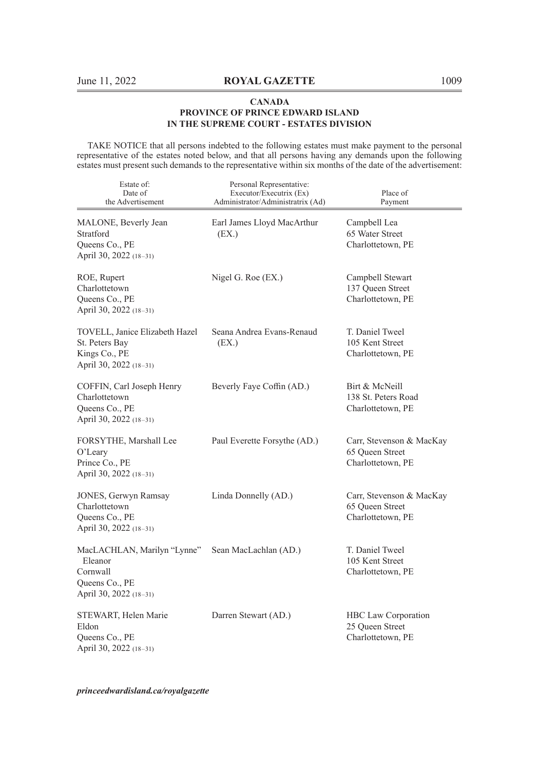TAKE NOTICE that all persons indebted to the following estates must make payment to the personal representative of the estates noted below, and that all persons having any demands upon the following estates must present such demands to the representative within six months of the date of the advertisement:

| Estate of:<br>Date of<br>the Advertisement                                                     | Personal Representative:<br>Executor/Executrix (Ex)<br>Administrator/Administratrix (Ad) | Place of<br>Payment                                              |
|------------------------------------------------------------------------------------------------|------------------------------------------------------------------------------------------|------------------------------------------------------------------|
| MALONE, Beverly Jean<br>Stratford<br>Queens Co., PE<br>April 30, 2022 (18-31)                  | Earl James Lloyd MacArthur<br>(EX.)                                                      | Campbell Lea<br>65 Water Street<br>Charlottetown, PE             |
| ROE, Rupert<br>Charlottetown<br>Queens Co., PE<br>April 30, 2022 (18-31)                       | Nigel G. Roe $(EX.)$                                                                     | Campbell Stewart<br>137 Queen Street<br>Charlottetown, PE        |
| TOVELL, Janice Elizabeth Hazel<br>St. Peters Bay<br>Kings Co., PE<br>April 30, 2022 (18-31)    | Seana Andrea Evans-Renaud<br>(EX.)                                                       | T. Daniel Tweel<br>105 Kent Street<br>Charlottetown, PE          |
| COFFIN, Carl Joseph Henry<br>Charlottetown<br>Queens Co., PE<br>April 30, 2022 (18-31)         | Beverly Faye Coffin (AD.)                                                                | Birt & McNeill<br>138 St. Peters Road<br>Charlottetown, PE       |
| FORSYTHE, Marshall Lee<br>O'Leary<br>Prince Co., PE<br>April 30, 2022 (18-31)                  | Paul Everette Forsythe (AD.)                                                             | Carr, Stevenson & MacKay<br>65 Queen Street<br>Charlottetown, PE |
| JONES, Gerwyn Ramsay<br>Charlottetown<br>Queens Co., PE<br>April 30, 2022 (18–31)              | Linda Donnelly (AD.)                                                                     | Carr, Stevenson & MacKay<br>65 Queen Street<br>Charlottetown, PE |
| MacLACHLAN, Marilyn "Lynne"<br>Eleanor<br>Cornwall<br>Queens Co., PE<br>April 30, 2022 (18-31) | Sean MacLachlan (AD.)                                                                    | T. Daniel Tweel<br>105 Kent Street<br>Charlottetown, PE          |
| STEWART, Helen Marie<br>Eldon<br>Queens Co., PE<br>April 30, 2022 (18-31)                      | Darren Stewart (AD.)                                                                     | HBC Law Corporation<br>25 Queen Street<br>Charlottetown, PE      |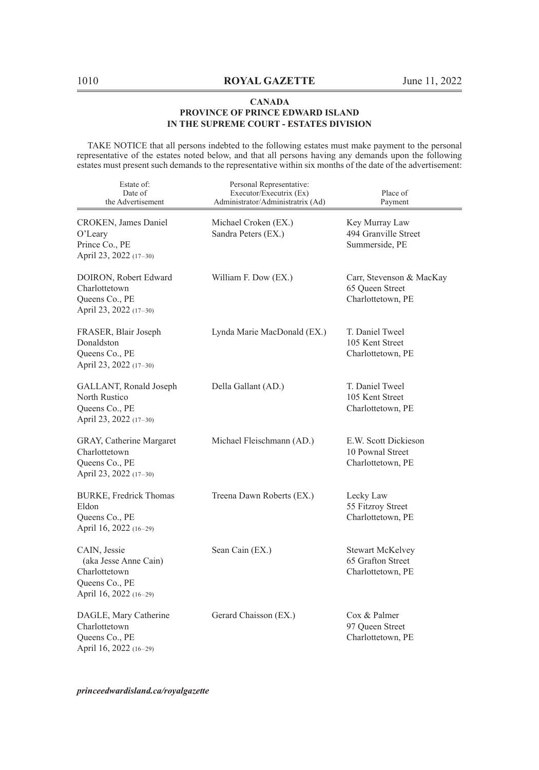TAKE NOTICE that all persons indebted to the following estates must make payment to the personal representative of the estates noted below, and that all persons having any demands upon the following estates must present such demands to the representative within six months of the date of the advertisement:

| Estate of:<br>Date of<br>the Advertisement                                                         | Personal Representative:<br>Executor/Executrix (Ex)<br>Administrator/Administratrix (Ad) | Place of<br>Payment                                               |
|----------------------------------------------------------------------------------------------------|------------------------------------------------------------------------------------------|-------------------------------------------------------------------|
| CROKEN, James Daniel<br>$O'$ Leary<br>Prince Co., PE<br>April 23, 2022 (17-30)                     | Michael Croken (EX.)<br>Sandra Peters (EX.)                                              | Key Murray Law<br>494 Granville Street<br>Summerside, PE          |
| DOIRON, Robert Edward<br>Charlottetown<br>Queens Co., PE<br>April 23, 2022 (17-30)                 | William F. Dow (EX.)                                                                     | Carr, Stevenson & MacKay<br>65 Oueen Street<br>Charlottetown, PE  |
| FRASER, Blair Joseph<br>Donaldston<br>Queens Co., PE<br>April 23, 2022 (17-30)                     | Lynda Marie MacDonald (EX.)                                                              | T. Daniel Tweel<br>105 Kent Street<br>Charlottetown, PE           |
| GALLANT, Ronald Joseph<br>North Rustico<br>Queens Co., PE<br>April 23, 2022 (17-30)                | Della Gallant (AD.)                                                                      | T. Daniel Tweel<br>105 Kent Street<br>Charlottetown, PE           |
| GRAY, Catherine Margaret<br>Charlottetown<br>Queens Co., PE<br>April 23, 2022 (17-30)              | Michael Fleischmann (AD.)                                                                | E.W. Scott Dickieson<br>10 Pownal Street<br>Charlottetown, PE     |
| <b>BURKE, Fredrick Thomas</b><br>Eldon<br>Queens Co., PE<br>April 16, 2022 (16-29)                 | Treena Dawn Roberts (EX.)                                                                | Lecky Law<br>55 Fitzroy Street<br>Charlottetown, PE               |
| CAIN, Jessie<br>(aka Jesse Anne Cain)<br>Charlottetown<br>Queens Co., PE<br>April 16, 2022 (16-29) | Sean Cain (EX.)                                                                          | <b>Stewart McKelvey</b><br>65 Grafton Street<br>Charlottetown, PE |
| DAGLE, Mary Catherine<br>Charlottetown<br>Queens Co., PE<br>April 16, 2022 (16-29)                 | Gerard Chaisson (EX.)                                                                    | Cox & Palmer<br>97 Queen Street<br>Charlottetown, PE              |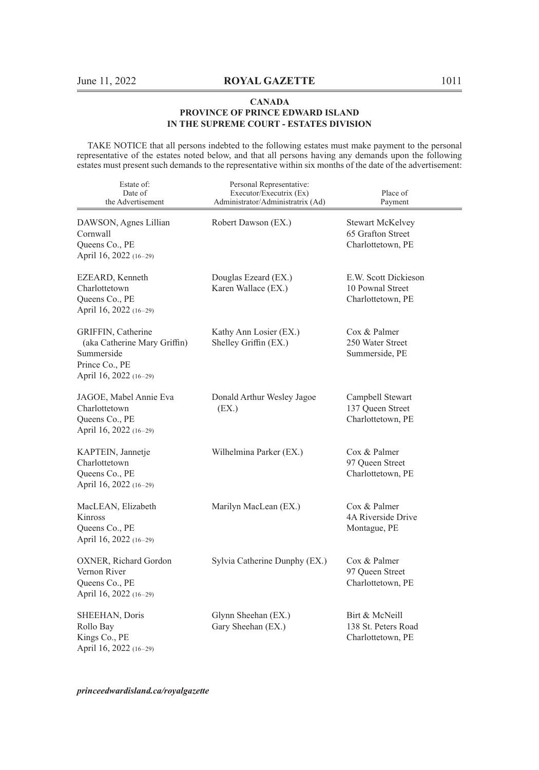TAKE NOTICE that all persons indebted to the following estates must make payment to the personal representative of the estates noted below, and that all persons having any demands upon the following estates must present such demands to the representative within six months of the date of the advertisement:

| Estate of:<br>Date of<br>the Advertisement                                                                   | Personal Representative:<br>Executor/Executrix (Ex)<br>Administrator/Administratrix (Ad) | Place of<br>Payment                                               |
|--------------------------------------------------------------------------------------------------------------|------------------------------------------------------------------------------------------|-------------------------------------------------------------------|
| DAWSON, Agnes Lillian<br>Cornwall<br>Queens Co., PE<br>April 16, 2022 (16-29)                                | Robert Dawson (EX.)                                                                      | <b>Stewart McKelvey</b><br>65 Grafton Street<br>Charlottetown, PE |
| EZEARD, Kenneth<br>Charlottetown<br>Queens Co., PE<br>April 16, 2022 (16-29)                                 | Douglas Ezeard (EX.)<br>Karen Wallace (EX.)                                              | E.W. Scott Dickieson<br>10 Pownal Street<br>Charlottetown, PE     |
| GRIFFIN, Catherine<br>(aka Catherine Mary Griffin)<br>Summerside<br>Prince Co., PE<br>April 16, 2022 (16-29) | Kathy Ann Losier (EX.)<br>Shelley Griffin (EX.)                                          | Cox & Palmer<br>250 Water Street<br>Summerside, PE                |
| JAGOE, Mabel Annie Eva<br>Charlottetown<br>Queens Co., PE<br>April 16, 2022 (16-29)                          | Donald Arthur Wesley Jagoe<br>(EX.)                                                      | Campbell Stewart<br>137 Queen Street<br>Charlottetown, PE         |
| KAPTEIN, Jannetje<br>Charlottetown<br>Queens Co., PE<br>April 16, 2022 (16-29)                               | Wilhelmina Parker (EX.)                                                                  | Cox & Palmer<br>97 Oueen Street<br>Charlottetown, PE              |
| MacLEAN, Elizabeth<br>Kinross<br>Queens Co., PE<br>April 16, 2022 (16-29)                                    | Marilyn MacLean (EX.)                                                                    | Cox & Palmer<br>4A Riverside Drive<br>Montague, PE                |
| OXNER, Richard Gordon<br>Vernon River<br>Queens Co., PE<br>April 16, 2022 (16-29)                            | Sylvia Catherine Dunphy (EX.)                                                            | Cox & Palmer<br>97 Queen Street<br>Charlottetown, PE              |
| SHEEHAN, Doris<br>Rollo Bay<br>Kings Co., PE<br>April 16, 2022 (16-29)                                       | Glynn Sheehan (EX.)<br>Gary Sheehan (EX.)                                                | Birt & McNeill<br>138 St. Peters Road<br>Charlottetown, PE        |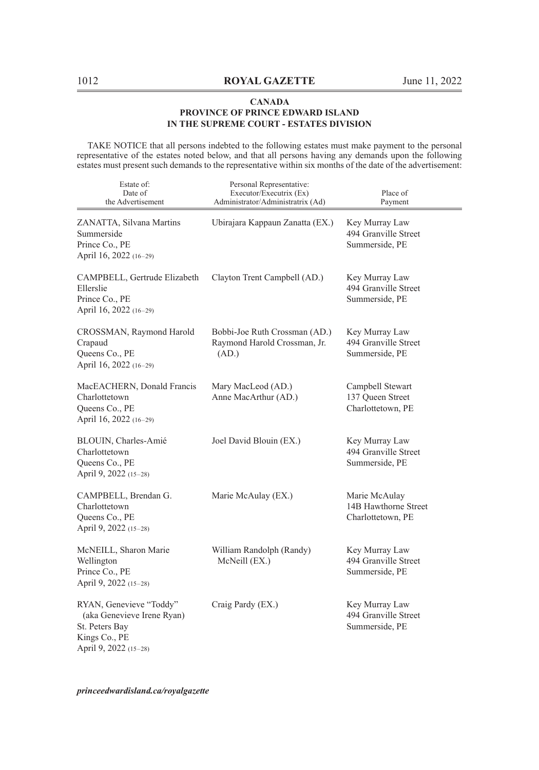TAKE NOTICE that all persons indebted to the following estates must make payment to the personal representative of the estates noted below, and that all persons having any demands upon the following estates must present such demands to the representative within six months of the date of the advertisement:

| Estate of:<br>Date of<br>the Advertisement                                                                        | Personal Representative:<br>Executor/Executrix (Ex)<br>Administrator/Administratrix (Ad) | Place of<br>Payment                                        |
|-------------------------------------------------------------------------------------------------------------------|------------------------------------------------------------------------------------------|------------------------------------------------------------|
| ZANATTA, Silvana Martins<br>Summerside<br>Prince Co., PE<br>April 16, 2022 (16-29)                                | Ubirajara Kappaun Zanatta (EX.)                                                          | Key Murray Law<br>494 Granville Street<br>Summerside, PE   |
| CAMPBELL, Gertrude Elizabeth<br>Ellerslie<br>Prince Co., PE<br>April 16, 2022 (16-29)                             | Clayton Trent Campbell (AD.)                                                             | Key Murray Law<br>494 Granville Street<br>Summerside, PE   |
| CROSSMAN, Raymond Harold<br>Crapaud<br>Queens Co., PE<br>April 16, 2022 (16-29)                                   | Bobbi-Joe Ruth Crossman (AD.)<br>Raymond Harold Crossman, Jr.<br>(AD.)                   | Key Murray Law<br>494 Granville Street<br>Summerside, PE   |
| MacEACHERN, Donald Francis<br>Charlottetown<br>Queens Co., PE<br>April 16, 2022 (16-29)                           | Mary MacLeod (AD.)<br>Anne MacArthur (AD.)                                               | Campbell Stewart<br>137 Queen Street<br>Charlottetown, PE  |
| BLOUIN, Charles-Amié<br>Charlottetown<br>Queens Co., PE<br>April 9, 2022 (15-28)                                  | Joel David Blouin (EX.)                                                                  | Key Murray Law<br>494 Granville Street<br>Summerside, PE   |
| CAMPBELL, Brendan G.<br>Charlottetown<br>Queens Co., PE<br>April 9, 2022 (15-28)                                  | Marie McAulay (EX.)                                                                      | Marie McAulay<br>14B Hawthorne Street<br>Charlottetown, PE |
| McNEILL, Sharon Marie<br>Wellington<br>Prince Co., PE<br>April 9, 2022 (15-28)                                    | William Randolph (Randy)<br>McNeill (EX.)                                                | Key Murray Law<br>494 Granville Street<br>Summerside, PE   |
| RYAN, Genevieve "Toddy"<br>(aka Genevieve Irene Ryan)<br>St. Peters Bay<br>Kings Co., PE<br>April 9, 2022 (15-28) | Craig Pardy (EX.)                                                                        | Key Murray Law<br>494 Granville Street<br>Summerside, PE   |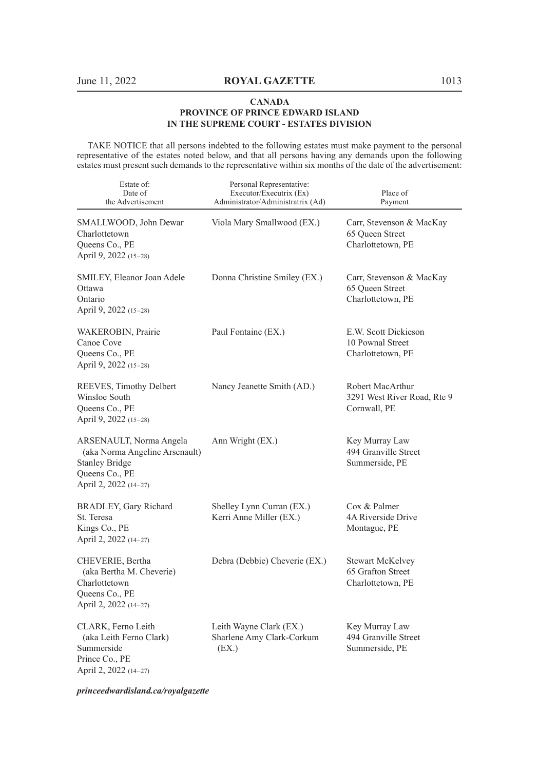TAKE NOTICE that all persons indebted to the following estates must make payment to the personal representative of the estates noted below, and that all persons having any demands upon the following estates must present such demands to the representative within six months of the date of the advertisement:

| Estate of:<br>Date of<br>the Advertisement                                                                                    | Personal Representative:<br>Executor/Executrix (Ex)<br>Administrator/Administratrix (Ad) | Place of<br>Payment                                               |
|-------------------------------------------------------------------------------------------------------------------------------|------------------------------------------------------------------------------------------|-------------------------------------------------------------------|
| SMALLWOOD, John Dewar<br>Charlottetown<br>Queens Co., PE<br>April 9, 2022 (15–28)                                             | Viola Mary Smallwood (EX.)                                                               | Carr, Stevenson & MacKay<br>65 Queen Street<br>Charlottetown, PE  |
| SMILEY, Eleanor Joan Adele<br>Ottawa<br>Ontario<br>April 9, 2022 (15–28)                                                      | Donna Christine Smiley (EX.)                                                             | Carr, Stevenson & MacKay<br>65 Queen Street<br>Charlottetown, PE  |
| WAKEROBIN, Prairie<br>Canoe Cove<br>Queens Co., PE<br>April 9, 2022 (15–28)                                                   | Paul Fontaine (EX.)                                                                      | E.W. Scott Dickieson<br>10 Pownal Street<br>Charlottetown, PE     |
| REEVES, Timothy Delbert<br>Winsloe South<br>Queens Co., PE<br>April 9, 2022 (15-28)                                           | Nancy Jeanette Smith (AD.)                                                               | Robert MacArthur<br>3291 West River Road, Rte 9<br>Cornwall, PE   |
| ARSENAULT, Norma Angela<br>(aka Norma Angeline Arsenault)<br><b>Stanley Bridge</b><br>Queens Co., PE<br>April 2, 2022 (14-27) | Ann Wright (EX.)                                                                         | Key Murray Law<br>494 Granville Street<br>Summerside, PE          |
| BRADLEY, Gary Richard<br>St. Teresa<br>Kings Co., PE<br>April 2, 2022 (14-27)                                                 | Shelley Lynn Curran (EX.)<br>Kerri Anne Miller (EX.)                                     | Cox & Palmer<br>4A Riverside Drive<br>Montague, PE                |
| CHEVERIE, Bertha<br>(aka Bertha M. Cheverie)<br>Charlottetown<br>Queens Co., PE<br>April 2, 2022 (14-27)                      | Debra (Debbie) Cheverie (EX.)                                                            | <b>Stewart McKelvey</b><br>65 Grafton Street<br>Charlottetown, PE |
| CLARK, Ferno Leith<br>(aka Leith Ferno Clark)<br>Summerside<br>Prince Co., PE<br>April 2, 2022 (14-27)                        | Leith Wayne Clark (EX.)<br>Sharlene Amy Clark-Corkum<br>(EX.)                            | Key Murray Law<br>494 Granville Street<br>Summerside, PE          |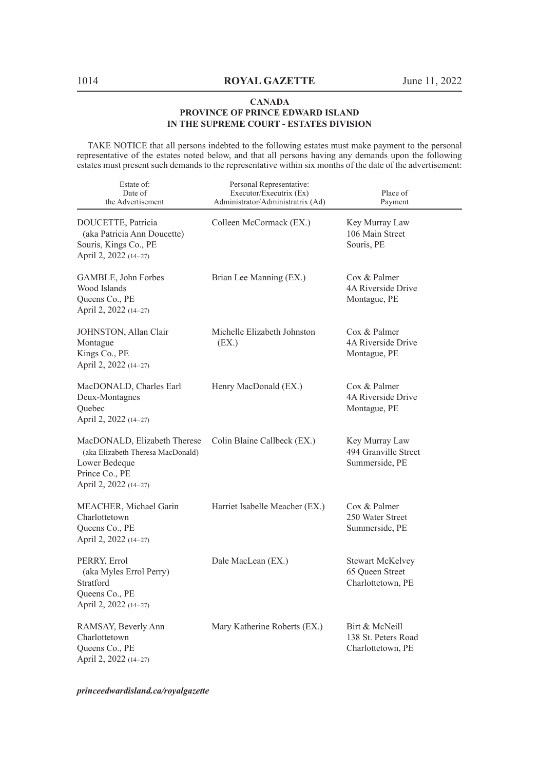TAKE NOTICE that all persons indebted to the following estates must make payment to the personal representative of the estates noted below, and that all persons having any demands upon the following estates must present such demands to the representative within six months of the date of the advertisement:

| Estate of:<br>Date of<br>the Advertisement                                                                                    | Personal Representative:<br>Executor/Executrix (Ex)<br>Administrator/Administratrix (Ad) | Place of<br>Payment                                             |
|-------------------------------------------------------------------------------------------------------------------------------|------------------------------------------------------------------------------------------|-----------------------------------------------------------------|
| DOUCETTE, Patricia<br>(aka Patricia Ann Doucette)<br>Souris, Kings Co., PE<br>April 2, 2022 (14-27)                           | Colleen McCormack (EX.)                                                                  | Key Murray Law<br>106 Main Street<br>Souris, PE                 |
| GAMBLE, John Forbes<br>Wood Islands<br>Queens Co., PE<br>April 2, 2022 (14-27)                                                | Brian Lee Manning (EX.)                                                                  | Cox & Palmer<br>4A Riverside Drive<br>Montague, PE              |
| JOHNSTON, Allan Clair<br>Montague<br>Kings Co., PE<br>April 2, 2022 (14-27)                                                   | Michelle Elizabeth Johnston<br>(EX.)                                                     | Cox & Palmer<br>4A Riverside Drive<br>Montague, PE              |
| MacDONALD, Charles Earl<br>Deux-Montagnes<br>Quebec<br>April 2, 2022 (14-27)                                                  | Henry MacDonald (EX.)                                                                    | Cox & Palmer<br>4A Riverside Drive<br>Montague, PE              |
| MacDONALD, Elizabeth Therese<br>(aka Elizabeth Theresa MacDonald)<br>Lower Bedeque<br>Prince Co., PE<br>April 2, 2022 (14-27) | Colin Blaine Callbeck (EX.)                                                              | Key Murray Law<br>494 Granville Street<br>Summerside, PE        |
| MEACHER, Michael Garin<br>Charlottetown<br>Queens Co., PE<br>April 2, 2022 (14-27)                                            | Harriet Isabelle Meacher (EX.)                                                           | Cox & Palmer<br>250 Water Street<br>Summerside, PE              |
| PERRY, Errol<br>(aka Myles Errol Perry)<br>Stratford<br>Queens Co., PE<br>April 2, 2022 (14-27)                               | Dale MacLean (EX.)                                                                       | <b>Stewart McKelvey</b><br>65 Queen Street<br>Charlottetown, PE |
| RAMSAY, Beverly Ann<br>Charlottetown<br>Queens Co., PE<br>April 2, 2022 (14-27)                                               | Mary Katherine Roberts (EX.)                                                             | Birt & McNeill<br>138 St. Peters Road<br>Charlottetown, PE      |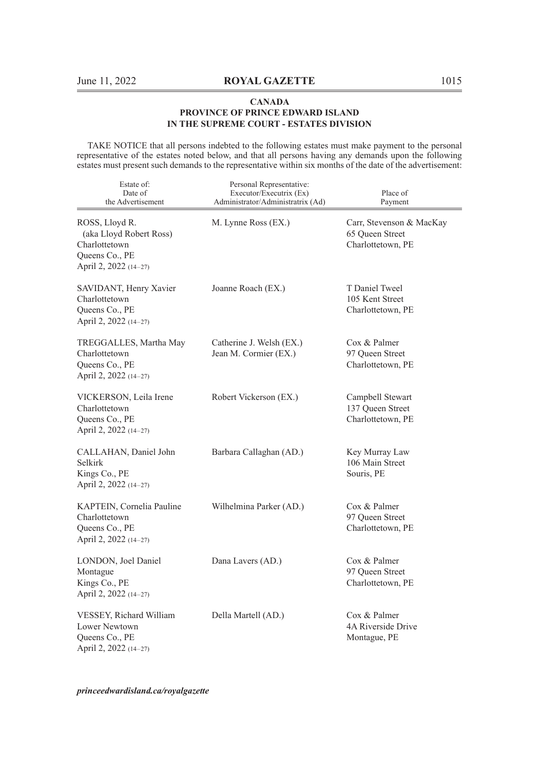TAKE NOTICE that all persons indebted to the following estates must make payment to the personal representative of the estates noted below, and that all persons having any demands upon the following estates must present such demands to the representative within six months of the date of the advertisement:

| Estate of:<br>Date of<br>the Advertisement                                                            | Personal Representative:<br>Executor/Executrix (Ex)<br>Administrator/Administratrix (Ad) | Place of<br>Payment                                              |
|-------------------------------------------------------------------------------------------------------|------------------------------------------------------------------------------------------|------------------------------------------------------------------|
| ROSS, Lloyd R.<br>(aka Lloyd Robert Ross)<br>Charlottetown<br>Queens Co., PE<br>April 2, 2022 (14-27) | M. Lynne Ross (EX.)                                                                      | Carr, Stevenson & MacKay<br>65 Queen Street<br>Charlottetown, PE |
| SAVIDANT, Henry Xavier<br>Charlottetown<br>Queens Co., PE<br>April 2, 2022 (14-27)                    | Joanne Roach (EX.)                                                                       | T Daniel Tweel<br>105 Kent Street<br>Charlottetown, PE           |
| TREGGALLES, Martha May<br>Charlottetown<br>Queens Co., PE<br>April 2, 2022 (14-27)                    | Catherine J. Welsh (EX.)<br>Jean M. Cormier (EX.)                                        | Cox & Palmer<br>97 Queen Street<br>Charlottetown, PE             |
| VICKERSON, Leila Irene<br>Charlottetown<br>Queens Co., PE<br>April 2, 2022 (14–27)                    | Robert Vickerson (EX.)                                                                   | Campbell Stewart<br>137 Queen Street<br>Charlottetown, PE        |
| CALLAHAN, Daniel John<br>Selkirk<br>Kings Co., PE<br>April 2, 2022 (14-27)                            | Barbara Callaghan (AD.)                                                                  | Key Murray Law<br>106 Main Street<br>Souris, PE                  |
| KAPTEIN, Cornelia Pauline<br>Charlottetown<br>Queens Co., PE<br>April 2, 2022 (14-27)                 | Wilhelmina Parker (AD.)                                                                  | Cox & Palmer<br>97 Queen Street<br>Charlottetown, PE             |
| LONDON, Joel Daniel<br>Montague<br>Kings Co., PE<br>April 2, 2022 (14-27)                             | Dana Lavers (AD.)                                                                        | Cox & Palmer<br>97 Queen Street<br>Charlottetown, PE             |
| VESSEY, Richard William<br>Lower Newtown<br>Queens Co., PE<br>April 2, 2022 (14-27)                   | Della Martell (AD.)                                                                      | Cox & Palmer<br>4A Riverside Drive<br>Montague, PE               |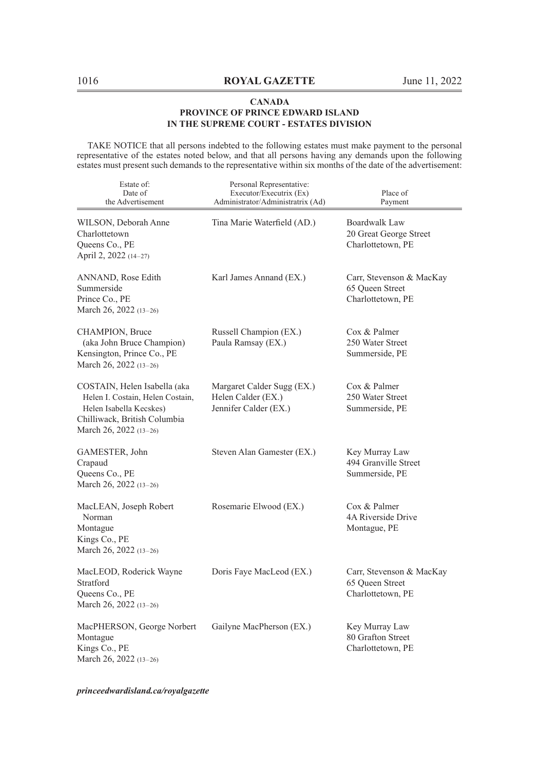TAKE NOTICE that all persons indebted to the following estates must make payment to the personal representative of the estates noted below, and that all persons having any demands upon the following estates must present such demands to the representative within six months of the date of the advertisement:

| Estate of:<br>Date of<br>the Advertisement                                                                                                            | Personal Representative:<br>Executor/Executrix (Ex)<br>Administrator/Administratrix (Ad) | Place of<br>Payment                                              |
|-------------------------------------------------------------------------------------------------------------------------------------------------------|------------------------------------------------------------------------------------------|------------------------------------------------------------------|
| WILSON, Deborah Anne<br>Charlottetown<br>Queens Co., PE<br>April 2, 2022 (14-27)                                                                      | Tina Marie Waterfield (AD.)                                                              | Boardwalk Law<br>20 Great George Street<br>Charlottetown, PE     |
| ANNAND, Rose Edith<br>Summerside<br>Prince Co., PE<br>March 26, 2022 (13-26)                                                                          | Karl James Annand (EX.)                                                                  | Carr, Stevenson & MacKay<br>65 Queen Street<br>Charlottetown, PE |
| CHAMPION, Bruce<br>(aka John Bruce Champion)<br>Kensington, Prince Co., PE<br>March 26, 2022 (13-26)                                                  | Russell Champion (EX.)<br>Paula Ramsay (EX.)                                             | Cox & Palmer<br>250 Water Street<br>Summerside, PE               |
| COSTAIN, Helen Isabella (aka<br>Helen I. Costain, Helen Costain,<br>Helen Isabella Kecskes)<br>Chilliwack, British Columbia<br>March 26, 2022 (13-26) | Margaret Calder Sugg (EX.)<br>Helen Calder (EX.)<br>Jennifer Calder (EX.)                | Cox & Palmer<br>250 Water Street<br>Summerside, PE               |
| GAMESTER, John<br>Crapaud<br>Queens Co., PE<br>March 26, 2022 (13-26)                                                                                 | Steven Alan Gamester (EX.)                                                               | Key Murray Law<br>494 Granville Street<br>Summerside, PE         |
| MacLEAN, Joseph Robert<br>Norman<br>Montague<br>Kings Co., PE<br>March 26, 2022 (13–26)                                                               | Rosemarie Elwood (EX.)                                                                   | Cox & Palmer<br>4A Riverside Drive<br>Montague, PE               |
| MacLEOD, Roderick Wayne<br>Stratford<br>Queens Co., PE<br>March 26, 2022 (13-26)                                                                      | Doris Faye MacLeod (EX.)                                                                 | Carr, Stevenson & MacKay<br>65 Oueen Street<br>Charlottetown, PE |
| MacPHERSON, George Norbert<br>Montague<br>Kings Co., PE<br>March 26, 2022 (13-26)                                                                     | Gailyne MacPherson (EX.)                                                                 | Key Murray Law<br>80 Grafton Street<br>Charlottetown, PE         |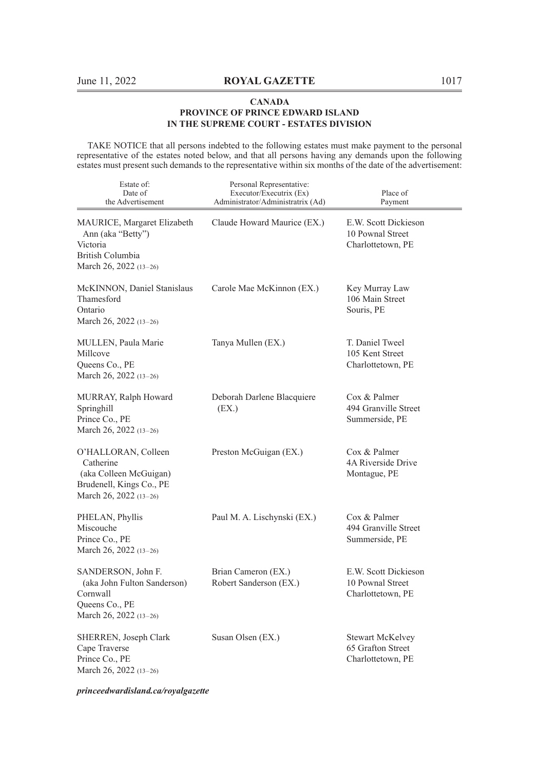TAKE NOTICE that all persons indebted to the following estates must make payment to the personal representative of the estates noted below, and that all persons having any demands upon the following estates must present such demands to the representative within six months of the date of the advertisement:

| Estate of:<br>Date of<br>the Advertisement                                                                         | Personal Representative:<br>Executor/Executrix (Ex)<br>Administrator/Administratrix (Ad) | Place of<br>Payment                                           |
|--------------------------------------------------------------------------------------------------------------------|------------------------------------------------------------------------------------------|---------------------------------------------------------------|
| MAURICE, Margaret Elizabeth<br>Ann (aka "Betty")<br>Victoria<br>British Columbia<br>March 26, 2022 (13-26)         | Claude Howard Maurice (EX.)                                                              | E.W. Scott Dickieson<br>10 Pownal Street<br>Charlottetown, PE |
| McKINNON, Daniel Stanislaus<br>Thamesford<br>Ontario<br>March 26, 2022 $(13-26)$                                   | Carole Mae McKinnon (EX.)                                                                | Key Murray Law<br>106 Main Street<br>Souris, PE               |
| MULLEN, Paula Marie<br>Millcove<br>Queens Co., PE<br>March 26, 2022 (13-26)                                        | Tanya Mullen (EX.)                                                                       | T. Daniel Tweel<br>105 Kent Street<br>Charlottetown, PE       |
| MURRAY, Ralph Howard<br>Springhill<br>Prince Co., PE<br>March 26, 2022 (13-26)                                     | Deborah Darlene Blacquiere<br>(EX.)                                                      | Cox & Palmer<br>494 Granville Street<br>Summerside, PE        |
| O'HALLORAN, Colleen<br>Catherine<br>(aka Colleen McGuigan)<br>Brudenell, Kings Co., PE<br>March 26, 2022 $(13-26)$ | Preston McGuigan (EX.)                                                                   | Cox & Palmer<br>4A Riverside Drive<br>Montague, PE            |
| PHELAN, Phyllis<br>Miscouche<br>Prince Co., PE<br>March 26, 2022 (13-26)                                           | Paul M. A. Lischynski (EX.)                                                              | Cox & Palmer<br>494 Granville Street<br>Summerside, PE        |
| SANDERSON, John F.<br>(aka John Fulton Sanderson)<br>Cornwall<br>Queens Co., PE<br>March 26, 2022 (13-26)          | Brian Cameron (EX.)<br>Robert Sanderson (EX.)                                            | E.W. Scott Dickieson<br>10 Pownal Street<br>Charlottetown, PE |
| SHERREN, Joseph Clark<br>Cape Traverse<br>Prince Co., PE<br>March 26, 2022 (13–26)                                 | Susan Olsen (EX.)                                                                        | Stewart McKelvey<br>65 Grafton Street<br>Charlottetown, PE    |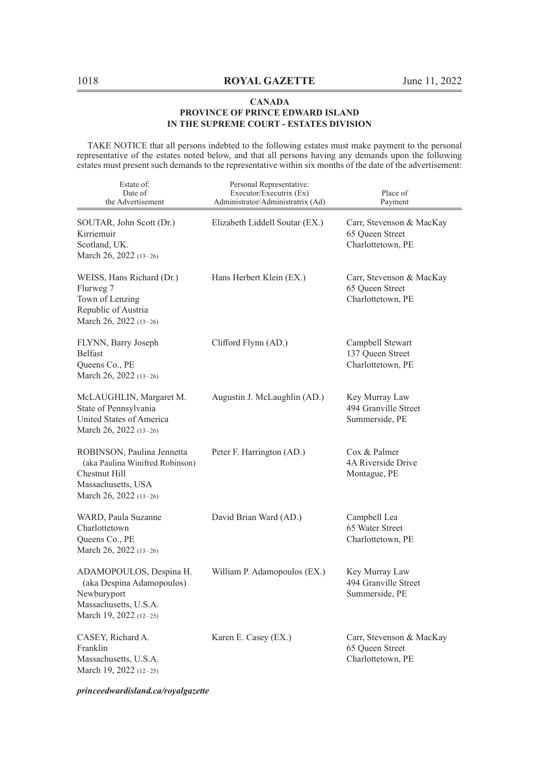TAKE NOTICE that all persons indebted to the following estates must make payment to the personal representative of the estates noted below, and that all persons having any demands upon the following estates must present such demands to the representative within six months of the date of the advertisement:

| Estate of:<br>Date of<br>the Advertisement                                                                                     | Personal Representative:<br>Executor/Executrix (Ex)<br>Administrator/Administratrix (Ad) | Place of<br>Payment                                              |
|--------------------------------------------------------------------------------------------------------------------------------|------------------------------------------------------------------------------------------|------------------------------------------------------------------|
| SOUTAR, John Scott (Dr.)<br>Kirriemuir<br>Scotland, UK.<br>March 26, 2022 (13-26)                                              | Elizabeth Liddell Soutar (EX.)                                                           | Carr, Stevenson & MacKay<br>65 Queen Street<br>Charlottetown, PE |
| WEISS, Hans Richard (Dr.)<br>Flurweg 7<br>Town of Lenzing<br>Republic of Austria<br>March 26, 2022 (13-26)                     | Hans Herbert Klein (EX.)                                                                 | Carr, Stevenson & MacKay<br>65 Queen Street<br>Charlottetown, PE |
| FLYNN, Barry Joseph<br><b>Belfast</b><br>Queens Co., PE<br>March 26, 2022 (13-26)                                              | Clifford Flynn (AD.)                                                                     | Campbell Stewart<br>137 Queen Street<br>Charlottetown, PE        |
| McLAUGHLIN, Margaret M.<br>State of Pennsylvania<br>United States of America<br>March 26, 2022 (13-26)                         | Augustin J. McLaughlin (AD.)                                                             | Key Murray Law<br>494 Granville Street<br>Summerside, PE         |
| ROBINSON, Paulina Jennetta<br>(aka Paulina Winifred Robinson)<br>Chestnut Hill<br>Massachusetts, USA<br>March 26, 2022 (13-26) | Peter F. Harrington (AD.)                                                                | Cox & Palmer<br>4A Riverside Drive<br>Montague, PE               |
| WARD, Paula Suzanne<br>Charlottetown<br>Queens Co., PE<br>March 26, 2022 (13-26)                                               | David Brian Ward (AD.)                                                                   | Campbell Lea<br>65 Water Street<br>Charlottetown, PE             |
| ADAMOPOULOS, Despina H.<br>(aka Despina Adamopoulos)<br>Newburyport<br>Massachusetts, U.S.A.<br>March 19, 2022 (12-25)         | William P. Adamopoulos (EX.)                                                             | Key Murray Law<br>494 Granville Street<br>Summerside, PE         |
| CASEY, Richard A.<br>Franklin<br>Massachusetts, U.S.A.<br>March 19, 2022 (12-25)                                               | Karen E. Casey (EX.)                                                                     | Carr, Stevenson & MacKay<br>65 Queen Street<br>Charlottetown, PE |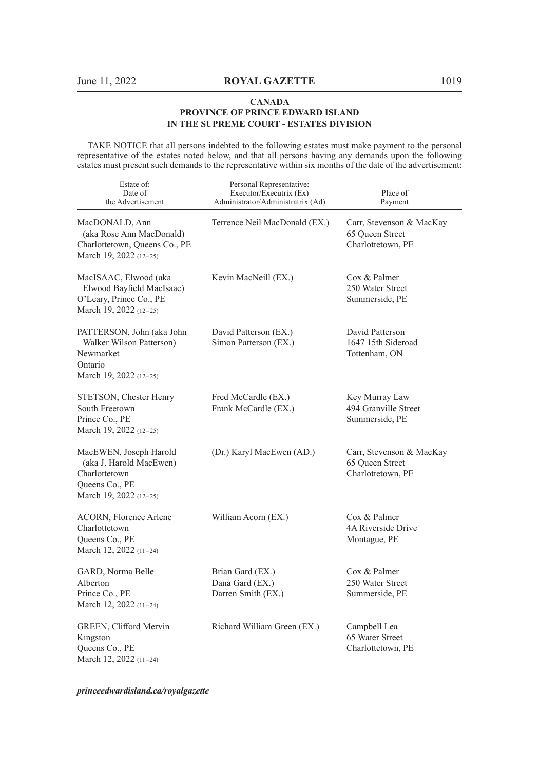TAKE NOTICE that all persons indebted to the following estates must make payment to the personal representative of the estates noted below, and that all persons having any demands upon the following estates must present such demands to the representative within six months of the date of the advertisement:

| Estate of:<br>Date of<br>the Advertisement                                                                     | Personal Representative:<br>Executor/Executrix (Ex)<br>Administrator/Administratrix (Ad) | Place of<br>Payment                                              |
|----------------------------------------------------------------------------------------------------------------|------------------------------------------------------------------------------------------|------------------------------------------------------------------|
| MacDONALD, Ann<br>(aka Rose Ann MacDonald)<br>Charlottetown, Queens Co., PE<br>March 19, 2022 (12–25)          | Terrence Neil MacDonald (EX.)                                                            | Carr, Stevenson & MacKay<br>65 Queen Street<br>Charlottetown, PE |
| MacISAAC, Elwood (aka<br>Elwood Bayfield MacIsaac)<br>O'Leary, Prince Co., PE<br>March 19, 2022 (12-25)        | Kevin MacNeill (EX.)                                                                     | Cox & Palmer<br>250 Water Street<br>Summerside, PE               |
| PATTERSON, John (aka John<br>Walker Wilson Patterson)<br>Newmarket<br>Ontario<br>March 19, 2022 (12-25)        | David Patterson (EX.)<br>Simon Patterson (EX.)                                           | David Patterson<br>1647 15th Sideroad<br>Tottenham, ON           |
| STETSON, Chester Henry<br>South Freetown<br>Prince Co., PE<br>March 19, 2022 (12-25)                           | Fred McCardle (EX.)<br>Frank McCardle (EX.)                                              | Key Murray Law<br>494 Granville Street<br>Summerside, PE         |
| MacEWEN, Joseph Harold<br>(aka J. Harold MacEwen)<br>Charlottetown<br>Queens Co., PE<br>March 19, 2022 (12-25) | (Dr.) Karyl MacEwen (AD.)                                                                | Carr, Stevenson & MacKay<br>65 Queen Street<br>Charlottetown, PE |
| ACORN, Florence Arlene<br>Charlottetown<br>Queens Co., PE<br>March 12, 2022 (11-24)                            | William Acorn (EX.)                                                                      | Cox & Palmer<br>4A Riverside Drive<br>Montague, PE               |
| GARD, Norma Belle<br>Alberton<br>Prince Co., PE<br>March 12, 2022 (11-24)                                      | Brian Gard (EX.)<br>Dana Gard (EX.)<br>Darren Smith (EX.)                                | Cox & Palmer<br>250 Water Street<br>Summerside, PE               |
| GREEN, Clifford Mervin<br>Kingston<br>Queens Co., PE<br>March 12, 2022 (11-24)                                 | Richard William Green (EX.)                                                              | Campbell Lea<br>65 Water Street<br>Charlottetown, PE             |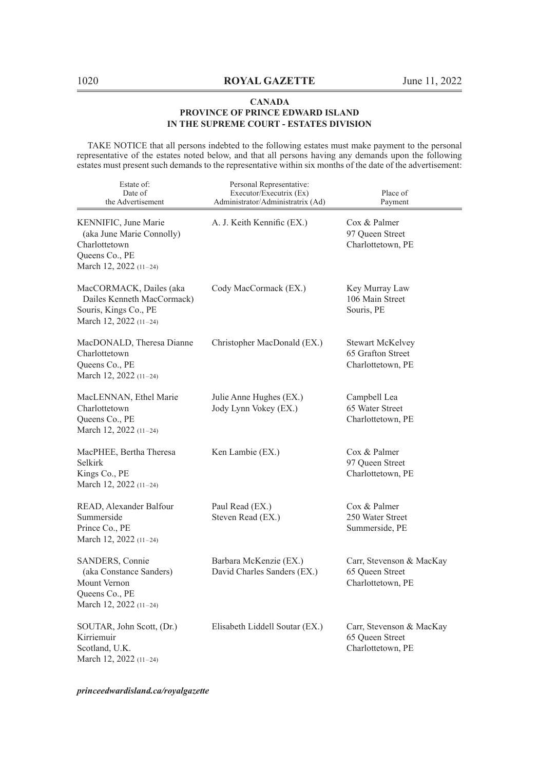TAKE NOTICE that all persons indebted to the following estates must make payment to the personal representative of the estates noted below, and that all persons having any demands upon the following estates must present such demands to the representative within six months of the date of the advertisement:

| Estate of:<br>Date of<br>the Advertisement                                                                     | Personal Representative:<br>Executor/Executrix (Ex)<br>Administrator/Administratrix (Ad) | Place of<br>Payment                                               |
|----------------------------------------------------------------------------------------------------------------|------------------------------------------------------------------------------------------|-------------------------------------------------------------------|
| KENNIFIC, June Marie<br>(aka June Marie Connolly)<br>Charlottetown<br>Queens Co., PE<br>March 12, 2022 (11-24) | A. J. Keith Kennific (EX.)                                                               | Cox & Palmer<br>97 Queen Street<br>Charlottetown, PE              |
| MacCORMACK, Dailes (aka<br>Dailes Kenneth MacCormack)<br>Souris, Kings Co., PE<br>March 12, 2022 (11-24)       | Cody MacCormack (EX.)                                                                    | Key Murray Law<br>106 Main Street<br>Souris, PE                   |
| MacDONALD, Theresa Dianne<br>Charlottetown<br>Queens Co., PE<br>March 12, 2022 (11-24)                         | Christopher MacDonald (EX.)                                                              | <b>Stewart McKelvey</b><br>65 Grafton Street<br>Charlottetown, PE |
| MacLENNAN, Ethel Marie<br>Charlottetown<br>Queens Co., PE<br>March 12, 2022 (11-24)                            | Julie Anne Hughes (EX.)<br>Jody Lynn Vokey (EX.)                                         | Campbell Lea<br>65 Water Street<br>Charlottetown, PE              |
| MacPHEE, Bertha Theresa<br>Selkirk<br>Kings Co., PE<br>March 12, 2022 (11-24)                                  | Ken Lambie (EX.)                                                                         | Cox & Palmer<br>97 Queen Street<br>Charlottetown, PE              |
| READ, Alexander Balfour<br>Summerside<br>Prince Co., PE<br>March 12, 2022 (11-24)                              | Paul Read (EX.)<br>Steven Read (EX.)                                                     | Cox & Palmer<br>250 Water Street<br>Summerside, PE                |
| SANDERS, Connie<br>(aka Constance Sanders)<br>Mount Vernon<br>Queens Co., PE<br>March 12, 2022 (11-24)         | Barbara McKenzie (EX.)<br>David Charles Sanders (EX.)                                    | Carr, Stevenson & MacKay<br>65 Queen Street<br>Charlottetown, PE  |
| SOUTAR, John Scott, (Dr.)<br>Kirriemuir<br>Scotland, U.K.<br>March 12, 2022 (11-24)                            | Elisabeth Liddell Soutar (EX.)                                                           | Carr, Stevenson & MacKay<br>65 Oueen Street<br>Charlottetown, PE  |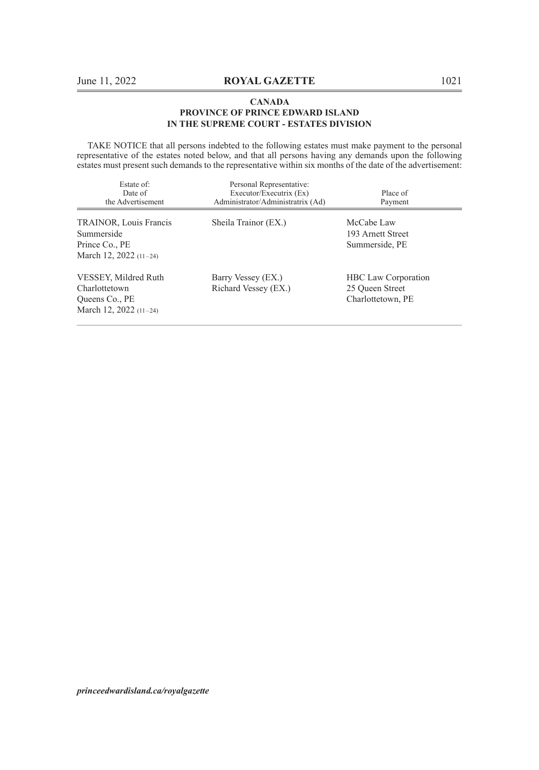TAKE NOTICE that all persons indebted to the following estates must make payment to the personal representative of the estates noted below, and that all persons having any demands upon the following estates must present such demands to the representative within six months of the date of the advertisement:

| Estate of:<br>Date of<br>the Advertisement                                        | Personal Representative:<br>Executor/Executrix (Ex)<br>Administrator/Administratrix (Ad) | Place of<br>Payment                                                |
|-----------------------------------------------------------------------------------|------------------------------------------------------------------------------------------|--------------------------------------------------------------------|
| TRAINOR, Louis Francis<br>Summerside<br>Prince Co., PE<br>March 12, 2022 (11-24)  | Sheila Trainor (EX.)                                                                     | McCabe Law<br>193 Arnett Street<br>Summerside, PE                  |
| VESSEY, Mildred Ruth<br>Charlottetown<br>Queens Co., PE<br>March 12, 2022 (11-24) | Barry Vessey (EX.)<br>Richard Vessey (EX.)                                               | <b>HBC</b> Law Corporation<br>25 Oueen Street<br>Charlottetown, PE |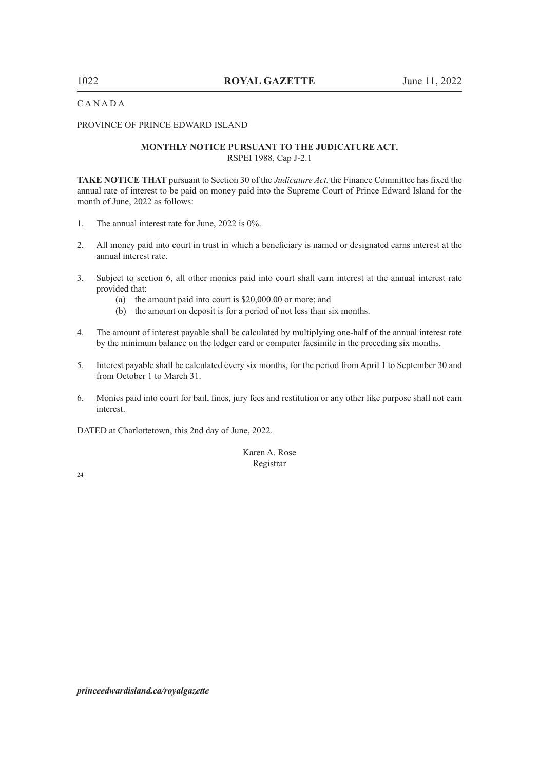C A N A D A

PROVINCE OF PRINCE EDWARD ISLAND

#### **MONTHLY NOTICE PURSUANT TO THE JUDICATURE ACT**, RSPEI 1988, Cap J-2.1

**TAKE NOTICE THAT** pursuant to Section 30 of the *Judicature Act*, the Finance Committee has fixed the annual rate of interest to be paid on money paid into the Supreme Court of Prince Edward Island for the month of June, 2022 as follows:

- 1. The annual interest rate for June, 2022 is 0%.
- 2. All money paid into court in trust in which a beneficiary is named or designated earns interest at the annual interest rate.
- 3. Subject to section 6, all other monies paid into court shall earn interest at the annual interest rate provided that:
	- (a) the amount paid into court is \$20,000.00 or more; and
	- (b) the amount on deposit is for a period of not less than six months.
- 4. The amount of interest payable shall be calculated by multiplying one-half of the annual interest rate by the minimum balance on the ledger card or computer facsimile in the preceding six months.
- 5. Interest payable shall be calculated every six months, for the period from April 1 to September 30 and from October 1 to March 31.
- 6. Monies paid into court for bail, fines, jury fees and restitution or any other like purpose shall not earn interest.

DATED at Charlottetown, this 2nd day of June, 2022.

Karen A. Rose Registrar

24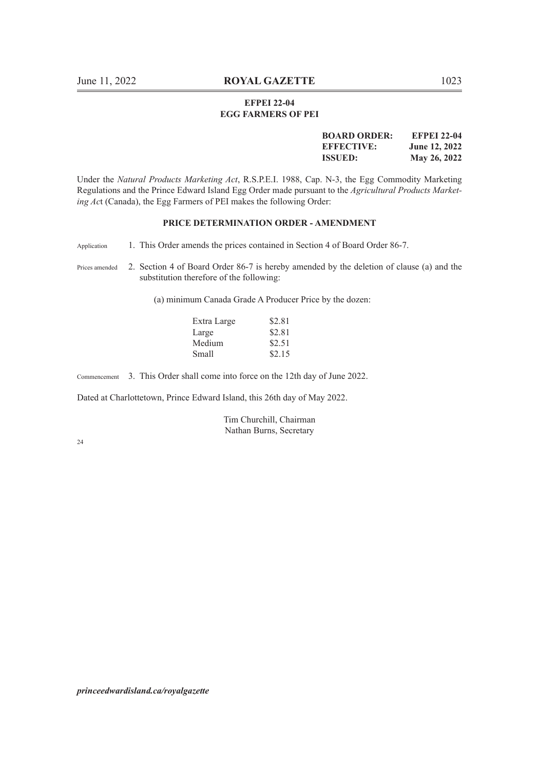#### **EFPEI 22-04 EGG FARMERS OF PEI**

| <b>BOARD ORDER:</b> | <b>EFPEI 22-04</b> |
|---------------------|--------------------|
| <b>EFFECTIVE:</b>   | June 12, 2022      |
| <b>ISSUED:</b>      | May 26, 2022       |

Under the *Natural Products Marketing Act*, R.S.P.E.I. 1988, Cap. N-3, the Egg Commodity Marketing Regulations and the Prince Edward Island Egg Order made pursuant to the *Agricultural Products Marketing Ac*t (Canada), the Egg Farmers of PEI makes the following Order:

#### **PRICE DETERMINATION ORDER - AMENDMENT**

Application 1. This Order amends the prices contained in Section 4 of Board Order 86-7.

(a) minimum Canada Grade A Producer Price by the dozen:

| Extra Large | \$2.81 |
|-------------|--------|
| Large       | \$2.81 |
| Medium      | \$2.51 |
| Small       | \$2.15 |

Commencement 3. This Order shall come into force on the 12th day of June 2022.

Dated at Charlottetown, Prince Edward Island, this 26th day of May 2022.

Tim Churchill, Chairman Nathan Burns, Secretary

24

Prices amended 2. Section 4 of Board Order 86-7 is hereby amended by the deletion of clause (a) and the substitution therefore of the following: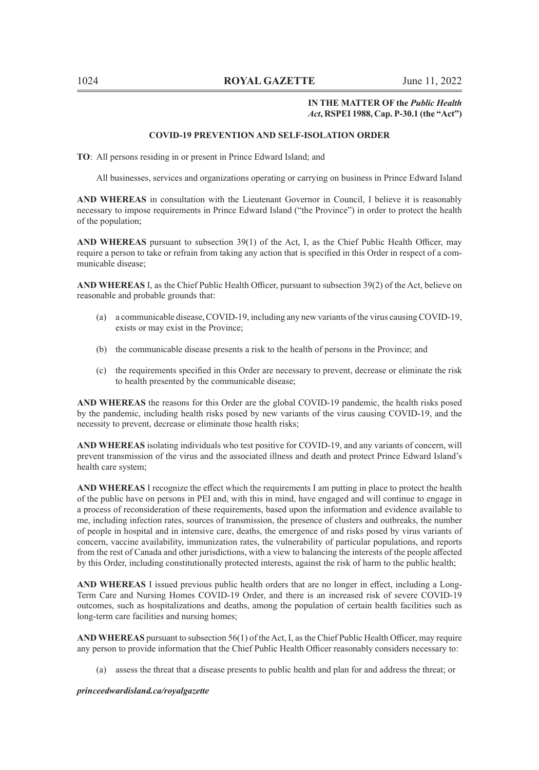#### **IN THE MATTER OF the** *Public Health Act***, RSPEI 1988, Cap. P-30.1 (the "Act")**

#### **COVID-19 PREVENTION AND SELF-ISOLATION ORDER**

**TO**: All persons residing in or present in Prince Edward Island; and

All businesses, services and organizations operating or carrying on business in Prince Edward Island

**AND WHEREAS** in consultation with the Lieutenant Governor in Council, I believe it is reasonably necessary to impose requirements in Prince Edward Island ("the Province") in order to protect the health of the population;

**AND WHEREAS** pursuant to subsection 39(1) of the Act, I, as the Chief Public Health Officer, may require a person to take or refrain from taking any action that is specified in this Order in respect of a communicable disease;

**AND WHEREAS** I, as the Chief Public Health Officer, pursuant to subsection 39(2) of the Act, believe on reasonable and probable grounds that:

- (a) a communicable disease, COVID-19, including any new variants of the virus causing COVID-19, exists or may exist in the Province;
- (b) the communicable disease presents a risk to the health of persons in the Province; and
- (c) the requirements specified in this Order are necessary to prevent, decrease or eliminate the risk to health presented by the communicable disease;

**AND WHEREAS** the reasons for this Order are the global COVID-19 pandemic, the health risks posed by the pandemic, including health risks posed by new variants of the virus causing COVID-19, and the necessity to prevent, decrease or eliminate those health risks;

**AND WHEREAS** isolating individuals who test positive for COVID-19, and any variants of concern, will prevent transmission of the virus and the associated illness and death and protect Prince Edward Island's health care system;

**AND WHEREAS** I recognize the effect which the requirements I am putting in place to protect the health of the public have on persons in PEI and, with this in mind, have engaged and will continue to engage in a process of reconsideration of these requirements, based upon the information and evidence available to me, including infection rates, sources of transmission, the presence of clusters and outbreaks, the number of people in hospital and in intensive care, deaths, the emergence of and risks posed by virus variants of concern, vaccine availability, immunization rates, the vulnerability of particular populations, and reports from the rest of Canada and other jurisdictions, with a view to balancing the interests of the people affected by this Order, including constitutionally protected interests, against the risk of harm to the public health;

**AND WHEREAS** I issued previous public health orders that are no longer in effect, including a Long-Term Care and Nursing Homes COVID-19 Order, and there is an increased risk of severe COVID-19 outcomes, such as hospitalizations and deaths, among the population of certain health facilities such as long-term care facilities and nursing homes;

**AND WHEREAS** pursuant to subsection 56(1) of the Act, I, as the Chief Public Health Officer, may require any person to provide information that the Chief Public Health Officer reasonably considers necessary to:

(a) assess the threat that a disease presents to public health and plan for and address the threat; or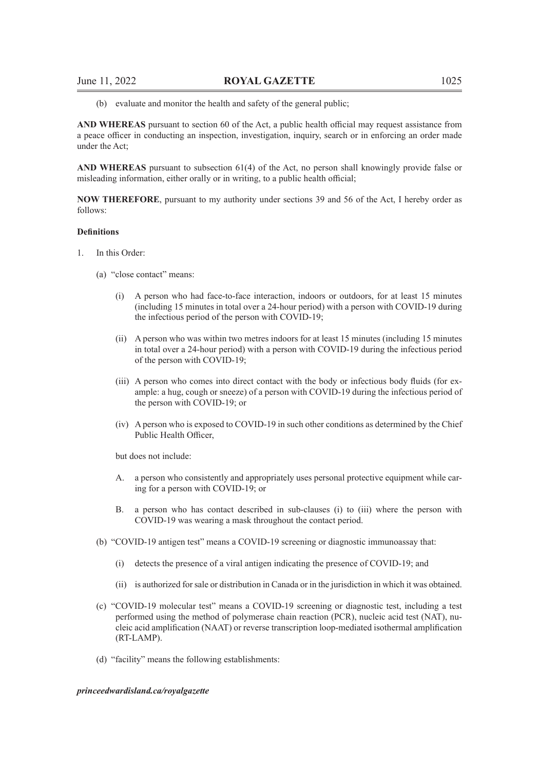(b) evaluate and monitor the health and safety of the general public;

**AND WHEREAS** pursuant to section 60 of the Act, a public health official may request assistance from a peace officer in conducting an inspection, investigation, inquiry, search or in enforcing an order made under the Act;

**AND WHEREAS** pursuant to subsection 61(4) of the Act, no person shall knowingly provide false or misleading information, either orally or in writing, to a public health official;

**NOW THEREFORE**, pursuant to my authority under sections 39 and 56 of the Act, I hereby order as follows:

#### **Definitions**

- 1. In this Order:
	- (a) "close contact" means:
		- (i) A person who had face-to-face interaction, indoors or outdoors, for at least 15 minutes (including 15 minutes in total over a 24-hour period) with a person with COVID-19 during the infectious period of the person with COVID-19;
		- (ii) A person who was within two metres indoors for at least 15 minutes (including 15 minutes in total over a 24-hour period) with a person with COVID-19 during the infectious period of the person with COVID-19;
		- (iii) A person who comes into direct contact with the body or infectious body fluids (for example: a hug, cough or sneeze) of a person with COVID-19 during the infectious period of the person with COVID-19; or
		- (iv) A person who is exposed to COVID-19 in such other conditions as determined by the Chief Public Health Officer,

but does not include:

- A. a person who consistently and appropriately uses personal protective equipment while caring for a person with COVID-19; or
- B. a person who has contact described in sub-clauses (i) to (iii) where the person with COVID-19 was wearing a mask throughout the contact period.
- (b) "COVID-19 antigen test" means a COVID-19 screening or diagnostic immunoassay that:
	- (i) detects the presence of a viral antigen indicating the presence of COVID-19; and
	- (ii) is authorized for sale or distribution in Canada or in the jurisdiction in which it was obtained.
- (c) "COVID-19 molecular test" means a COVID-19 screening or diagnostic test, including a test performed using the method of polymerase chain reaction (PCR), nucleic acid test (NAT), nucleic acid amplification (NAAT) or reverse transcription loop-mediated isothermal amplification (RT-LAMP).
- (d) "facility" means the following establishments: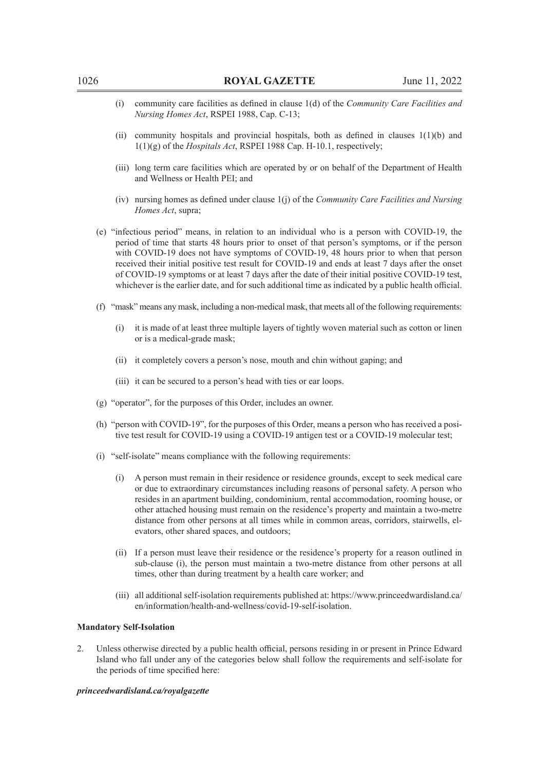- (i) community care facilities as defined in clause 1(d) of the *Community Care Facilities and Nursing Homes Act*, RSPEI 1988, Cap. C-13;
- (ii) community hospitals and provincial hospitals, both as defined in clauses 1(1)(b) and 1(1)(g) of the *Hospitals Act*, RSPEI 1988 Cap. H-10.1, respectively;
- (iii) long term care facilities which are operated by or on behalf of the Department of Health and Wellness or Health PEI; and
- (iv) nursing homes as defined under clause 1(j) of the *Community Care Facilities and Nursing Homes Act*, supra;
- (e) "infectious period" means, in relation to an individual who is a person with COVID-19, the period of time that starts 48 hours prior to onset of that person's symptoms, or if the person with COVID-19 does not have symptoms of COVID-19, 48 hours prior to when that person received their initial positive test result for COVID-19 and ends at least 7 days after the onset of COVID-19 symptoms or at least 7 days after the date of their initial positive COVID-19 test, whichever is the earlier date, and for such additional time as indicated by a public health official.
- (f) "mask" means any mask, including a non-medical mask, that meets all of the following requirements:
	- (i) it is made of at least three multiple layers of tightly woven material such as cotton or linen or is a medical-grade mask;
	- (ii) it completely covers a person's nose, mouth and chin without gaping; and
	- (iii) it can be secured to a person's head with ties or ear loops.
- (g) "operator", for the purposes of this Order, includes an owner.
- (h) "person with COVID-19", for the purposes of this Order, means a person who has received a positive test result for COVID-19 using a COVID-19 antigen test or a COVID-19 molecular test;
- (i) "self-isolate" means compliance with the following requirements:
	- (i) A person must remain in their residence or residence grounds, except to seek medical care or due to extraordinary circumstances including reasons of personal safety. A person who resides in an apartment building, condominium, rental accommodation, rooming house, or other attached housing must remain on the residence's property and maintain a two-metre distance from other persons at all times while in common areas, corridors, stairwells, elevators, other shared spaces, and outdoors;
	- (ii) If a person must leave their residence or the residence's property for a reason outlined in sub-clause (i), the person must maintain a two-metre distance from other persons at all times, other than during treatment by a health care worker; and
	- (iii) all additional self-isolation requirements published at: https://www.princeedwardisland.ca/ en/information/health-and-wellness/covid-19-self-isolation.

#### **Mandatory Self-Isolation**

2. Unless otherwise directed by a public health official, persons residing in or present in Prince Edward Island who fall under any of the categories below shall follow the requirements and self-isolate for the periods of time specified here: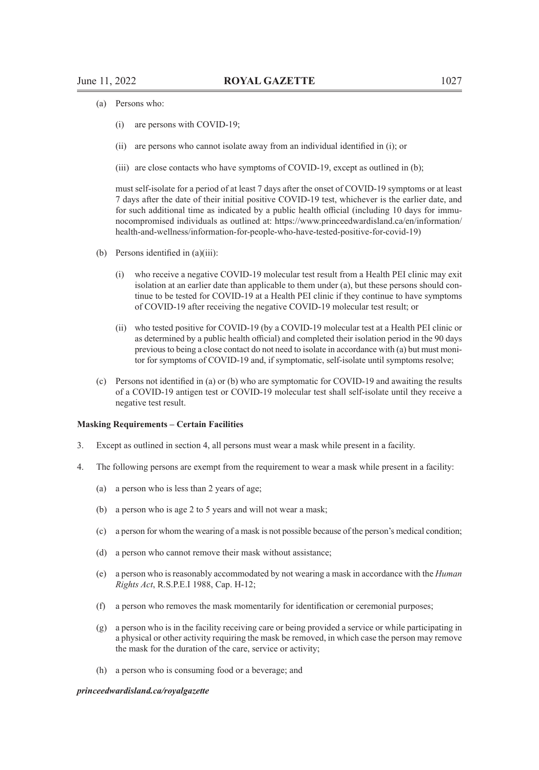- (a) Persons who:
	- (i) are persons with COVID-19;
	- (ii) are persons who cannot isolate away from an individual identified in (i); or
	- (iii) are close contacts who have symptoms of COVID-19, except as outlined in (b);

must self-isolate for a period of at least 7 days after the onset of COVID-19 symptoms or at least 7 days after the date of their initial positive COVID-19 test, whichever is the earlier date, and for such additional time as indicated by a public health official (including 10 days for immunocompromised individuals as outlined at: https://www.princeedwardisland.ca/en/information/ health-and-wellness/information-for-people-who-have-tested-positive-for-covid-19)

- (b) Persons identified in (a)(iii):
	- (i) who receive a negative COVID-19 molecular test result from a Health PEI clinic may exit isolation at an earlier date than applicable to them under (a), but these persons should continue to be tested for COVID-19 at a Health PEI clinic if they continue to have symptoms of COVID-19 after receiving the negative COVID-19 molecular test result; or
	- (ii) who tested positive for COVID-19 (by a COVID-19 molecular test at a Health PEI clinic or as determined by a public health official) and completed their isolation period in the 90 days previous to being a close contact do not need to isolate in accordance with (a) but must monitor for symptoms of COVID-19 and, if symptomatic, self-isolate until symptoms resolve;
- (c) Persons not identified in (a) or (b) who are symptomatic for COVID-19 and awaiting the results of a COVID-19 antigen test or COVID-19 molecular test shall self-isolate until they receive a negative test result.

#### **Masking Requirements – Certain Facilities**

- 3. Except as outlined in section 4, all persons must wear a mask while present in a facility.
- 4. The following persons are exempt from the requirement to wear a mask while present in a facility:
	- (a) a person who is less than 2 years of age;
	- (b) a person who is age 2 to 5 years and will not wear a mask;
	- (c) a person for whom the wearing of a mask is not possible because of the person's medical condition;
	- (d) a person who cannot remove their mask without assistance;
	- (e) a person who is reasonably accommodated by not wearing a mask in accordance with the *Human Rights Act*, R.S.P.E.I 1988, Cap. H-12;
	- (f) a person who removes the mask momentarily for identification or ceremonial purposes;
	- (g) a person who is in the facility receiving care or being provided a service or while participating in a physical or other activity requiring the mask be removed, in which case the person may remove the mask for the duration of the care, service or activity;
	- (h) a person who is consuming food or a beverage; and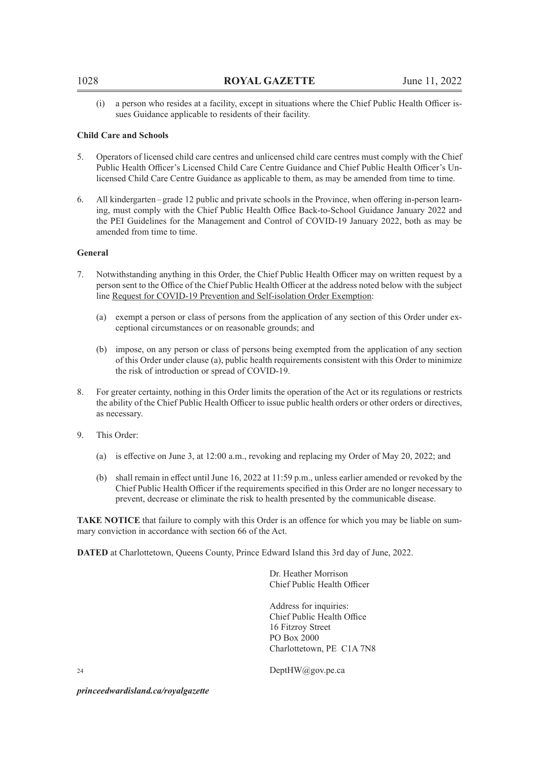(i) a person who resides at a facility, except in situations where the Chief Public Health Officer issues Guidance applicable to residents of their facility.

#### **Child Care and Schools**

- 5. Operators of licensed child care centres and unlicensed child care centres must comply with the Chief Public Health Officer's Licensed Child Care Centre Guidance and Chief Public Health Officer's Unlicensed Child Care Centre Guidance as applicable to them, as may be amended from time to time.
- 6. All kindergarten–grade 12 public and private schools in the Province, when offering in-person learning, must comply with the Chief Public Health Office Back-to-School Guidance January 2022 and the PEI Guidelines for the Management and Control of COVID-19 January 2022, both as may be amended from time to time.

#### **General**

- 7. Notwithstanding anything in this Order, the Chief Public Health Officer may on written request by a person sent to the Office of the Chief Public Health Officer at the address noted below with the subject line Request for COVID-19 Prevention and Self-isolation Order Exemption:
	- (a) exempt a person or class of persons from the application of any section of this Order under exceptional circumstances or on reasonable grounds; and
	- (b) impose, on any person or class of persons being exempted from the application of any section of this Order under clause (a), public health requirements consistent with this Order to minimize the risk of introduction or spread of COVID-19.
- 8. For greater certainty, nothing in this Order limits the operation of the Act or its regulations or restricts the ability of the Chief Public Health Officer to issue public health orders or other orders or directives, as necessary.
- 9. This Order:
	- (a) is effective on June 3, at 12:00 a.m., revoking and replacing my Order of May 20, 2022; and
	- (b) shall remain in effect until June 16, 2022 at 11:59 p.m., unless earlier amended or revoked by the Chief Public Health Officer if the requirements specified in this Order are no longer necessary to prevent, decrease or eliminate the risk to health presented by the communicable disease.

**TAKE NOTICE** that failure to comply with this Order is an offence for which you may be liable on summary conviction in accordance with section 66 of the Act.

**DATED** at Charlottetown, Queens County, Prince Edward Island this 3rd day of June, 2022.

Dr. Heather Morrison Chief Public Health Officer

Address for inquiries: Chief Public Health Office 16 Fitzroy Street PO Box 2000 Charlottetown, PE C1A 7N8

 $24$  DeptHW $(a)$ gov.pe.ca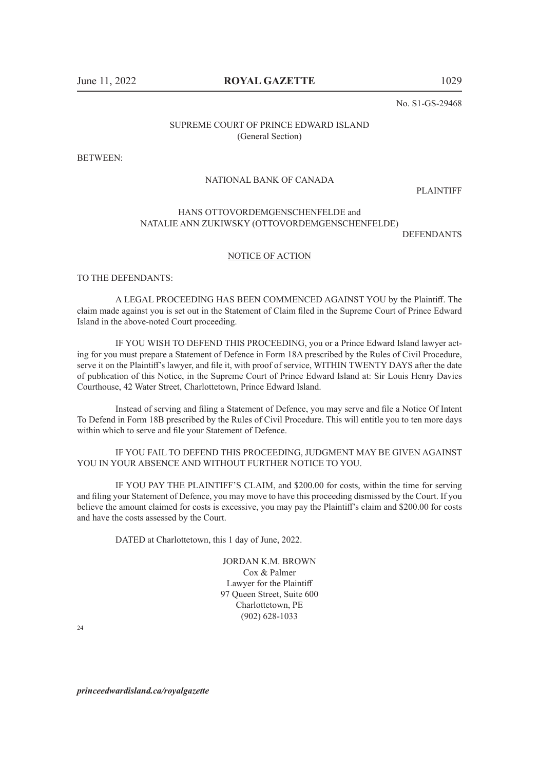No. S1-GS-29468

### SUPREME COURT OF PRINCE EDWARD ISLAND (General Section)

BETWEEN:

#### NATIONAL BANK OF CANADA

PLAINTIFF

## HANS OTTOVORDEMGENSCHENFELDE and NATALIE ANN ZUKIWSKY (OTTOVORDEMGENSCHENFELDE)

DEFENDANTS

#### NOTICE OF ACTION

TO THE DEFENDANTS:

A LEGAL PROCEEDING HAS BEEN COMMENCED AGAINST YOU by the Plaintiff. The claim made against you is set out in the Statement of Claim filed in the Supreme Court of Prince Edward Island in the above-noted Court proceeding.

IF YOU WISH TO DEFEND THIS PROCEEDING, you or a Prince Edward Island lawyer acting for you must prepare a Statement of Defence in Form 18A prescribed by the Rules of Civil Procedure, serve it on the Plaintiff's lawyer, and file it, with proof of service, WITHIN TWENTY DAYS after the date of publication of this Notice, in the Supreme Court of Prince Edward Island at: Sir Louis Henry Davies Courthouse, 42 Water Street, Charlottetown, Prince Edward Island.

Instead of serving and filing a Statement of Defence, you may serve and file a Notice Of Intent To Defend in Form 18B prescribed by the Rules of Civil Procedure. This will entitle you to ten more days within which to serve and file your Statement of Defence.

IF YOU FAIL TO DEFEND THIS PROCEEDING, JUDGMENT MAY BE GIVEN AGAINST YOU IN YOUR ABSENCE AND WITHOUT FURTHER NOTICE TO YOU.

IF YOU PAY THE PLAINTIFF'S CLAIM, and \$200.00 for costs, within the time for serving and filing your Statement of Defence, you may move to have this proceeding dismissed by the Court. If you believe the amount claimed for costs is excessive, you may pay the Plaintiff's claim and \$200.00 for costs and have the costs assessed by the Court.

DATED at Charlottetown, this 1 day of June, 2022.

JORDAN K.M. BROWN Cox & Palmer Lawyer for the Plaintiff 97 Queen Street, Suite 600 Charlottetown, PE (902) 628-1033

 $24$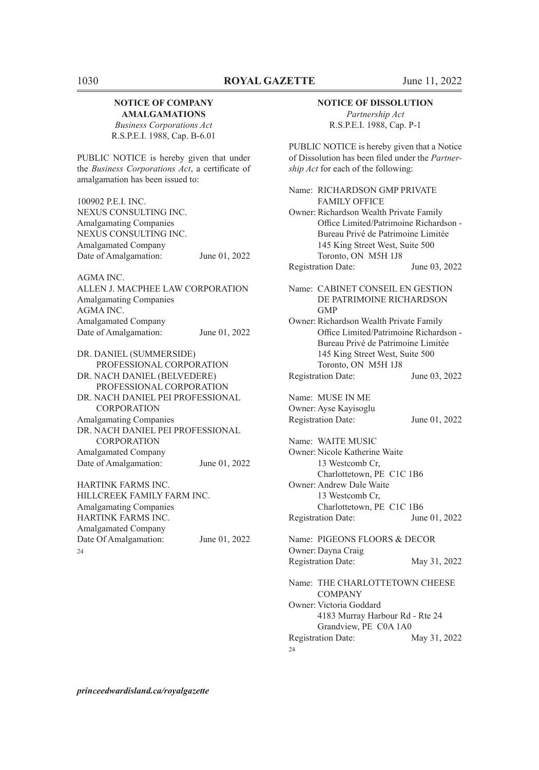# **NOTICE OF COMPANY AMALGAMATIONS**

*Business Corporations Act* R.S.P.E.I. 1988, Cap. B-6.01

PUBLIC NOTICE is hereby given that under the *Business Corporations Act*, a certificate of amalgamation has been issued to:

100902 P.E.I. INC. NEXUS CONSULTING INC. Amalgamating Companies NEXUS CONSULTING INC. Amalgamated Company Date of Amalgamation: June 01, 2022

AGMA INC. ALLEN J. MACPHEE LAW CORPORATION Amalgamating Companies AGMA INC. Amalgamated Company Date of Amalgamation: June 01, 2022

DR. DANIEL (SUMMERSIDE) PROFESSIONAL CORPORATION DR. NACH DANIEL (BELVEDERE) PROFESSIONAL CORPORATION DR. NACH DANIEL PEI PROFESSIONAL **CORPORATION** Amalgamating Companies DR. NACH DANIEL PEI PROFESSIONAL **CORPORATION** Amalgamated Company Date of Amalgamation: June 01, 2022

HARTINK FARMS INC. HILLCREEK FAMILY FARM INC. Amalgamating Companies HARTINK FARMS INC. Amalgamated Company Date Of Amalgamation: June 01, 2022  $24$ 

#### **NOTICE OF DISSOLUTION**

*Partnership Act* R.S.P.E.I. 1988, Cap. P-1

PUBLIC NOTICE is hereby given that a Notice of Dissolution has been filed under the *Partnership Act* for each of the following:

| Name: RICHARDSON GMP PRIVATE<br><b>FAMILY OFFICE</b>                                                                                                                              |               |
|-----------------------------------------------------------------------------------------------------------------------------------------------------------------------------------|---------------|
| Owner: Richardson Wealth Private Family<br>Office Limited/Patrimoine Richardson -<br>Bureau Privé de Patrimoine Limitée<br>145 King Street West, Suite 500<br>Toronto, ON M5H 1J8 |               |
| <b>Registration Date:</b>                                                                                                                                                         | June 03, 2022 |
| Name: CABINET CONSEIL EN GESTION<br>DE PATRIMOINE RICHARDSON<br><b>GMP</b>                                                                                                        |               |
| Owner: Richardson Wealth Private Family<br>Office Limited/Patrimoine Richardson -<br>Bureau Privé de Patrimoine Limitée<br>145 King Street West, Suite 500<br>Toronto, ON M5H 1J8 |               |
| <b>Registration Date:</b>                                                                                                                                                         | June 03, 2022 |
| Name: MUSE IN ME<br>Owner: Ayse Kayisoglu<br><b>Registration Date:</b>                                                                                                            | June 01, 2022 |
| Name: WAITE MUSIC                                                                                                                                                                 |               |
| Owner: Nicole Katherine Waite<br>13 Westcomb Cr,<br>Charlottetown, PE C1C 1B6                                                                                                     |               |
| Owner: Andrew Dale Waite<br>13 Westcomb Cr.<br>Charlottetown, PE C1C 1B6                                                                                                          |               |
| <b>Registration Date:</b>                                                                                                                                                         | June 01, 2022 |
| Name: PIGEONS FLOORS & DECOR<br>Owner: Dayna Craig                                                                                                                                |               |
| <b>Registration Date:</b>                                                                                                                                                         | May 31, 2022  |
| Name: THE CHARLOTTETOWN CHEESE<br><b>COMPANY</b>                                                                                                                                  |               |
| Owner: Victoria Goddard<br>4183 Murray Harbour Rd - Rte 24<br>Grandview, PE C0A 1A0                                                                                               |               |
| <b>Registration Date:</b>                                                                                                                                                         | May 31, 2022  |

24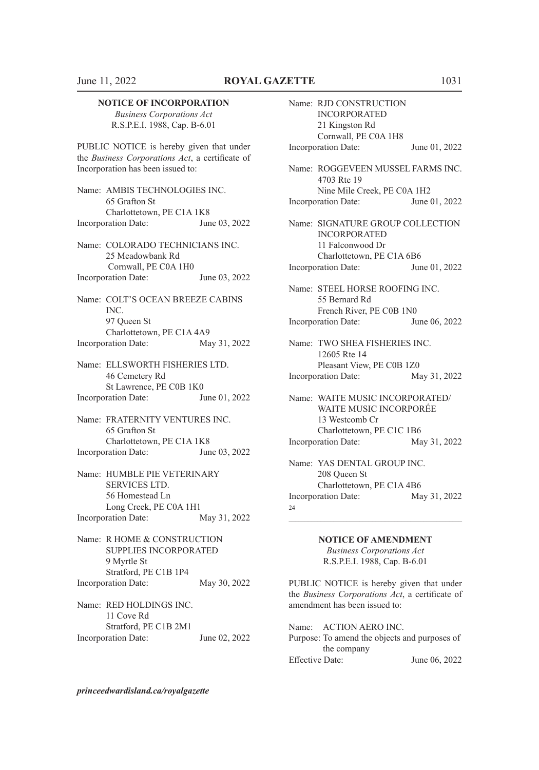#### **NOTICE OF INCORPORATION**

*Business Corporations Act* R.S.P.E.I. 1988, Cap. B-6.01

PUBLIC NOTICE is hereby given that under the *Business Corporations Act*, a certificate of Incorporation has been issued to:

Name: AMBIS TECHNOLOGIES INC. 65 Grafton St Charlottetown, PE C1A 1K8 Incorporation Date: June 03, 2022

Name: COLORADO TECHNICIANS INC. 25 Meadowbank Rd Cornwall, PE C0A 1H0 Incorporation Date: June 03, 2022

Name: COLT'S OCEAN BREEZE CABINS INC. 97 Queen St Charlottetown, PE C1A 4A9 Incorporation Date: May 31, 2022

Name: ELLSWORTH FISHERIES LTD. 46 Cemetery Rd St Lawrence, PE C0B 1K0 Incorporation Date: June 01, 2022

Name: FRATERNITY VENTURES INC. 65 Grafton St Charlottetown, PE C1A 1K8 Incorporation Date: June 03, 2022

Name: HUMBLE PIE VETERINARY SERVICES LTD. 56 Homestead Ln Long Creek, PE C0A 1H1 Incorporation Date: May 31, 2022

Name: R HOME & CONSTRUCTION SUPPLIES INCORPORATED 9 Myrtle St Stratford, PE C1B 1P4 Incorporation Date: May 30, 2022

Name: RED HOLDINGS INC. 11 Cove Rd Stratford, PE C1B 2M1 Incorporation Date: June 02, 2022

INCORPORATED 21 Kingston Rd Cornwall, PE C0A 1H8 Incorporation Date: June 01, 2022 Name: ROGGEVEEN MUSSEL FARMS INC. 4703 Rte 19 Nine Mile Creek, PE C0A 1H2 Incorporation Date: June 01, 2022 Name: SIGNATURE GROUP COLLECTION INCORPORATED 11 Falconwood Dr Charlottetown, PE C1A 6B6 Incorporation Date: June 01, 2022 Name: STEEL HORSE ROOFING INC. 55 Bernard Rd French River, PE C0B 1N0 Incorporation Date: June 06, 2022 Name: TWO SHEA FISHERIES INC. 12605 Rte 14 Pleasant View, PE C0B 1Z0 Incorporation Date: May 31, 2022 Name: WAITE MUSIC INCORPORATED/ WAITE MUSIC INCORPORÉE 13 Westcomb Cr Charlottetown, PE C1C 1B6 Incorporation Date: May 31, 2022 Name: YAS DENTAL GROUP INC. 208 Queen St Charlottetown, PE C1A 4B6 Incorporation Date: May 31, 2022

Name: RJD CONSTRUCTION

 $\mathcal{L}_\text{max} = \mathcal{L}_\text{max} = \mathcal{L}_\text{max} = \mathcal{L}_\text{max} = \mathcal{L}_\text{max} = \mathcal{L}_\text{max} = \mathcal{L}_\text{max} = \mathcal{L}_\text{max} = \mathcal{L}_\text{max} = \mathcal{L}_\text{max} = \mathcal{L}_\text{max} = \mathcal{L}_\text{max} = \mathcal{L}_\text{max} = \mathcal{L}_\text{max} = \mathcal{L}_\text{max} = \mathcal{L}_\text{max} = \mathcal{L}_\text{max} = \mathcal{L}_\text{max} = \mathcal{$ 

24

**NOTICE OF AMENDMENT** *Business Corporations Act* R.S.P.E.I. 1988, Cap. B-6.01

PUBLIC NOTICE is hereby given that under the *Business Corporations Act*, a certificate of amendment has been issued to:

Name: ACTION AERO INC. Purpose: To amend the objects and purposes of the company Effective Date: June 06, 2022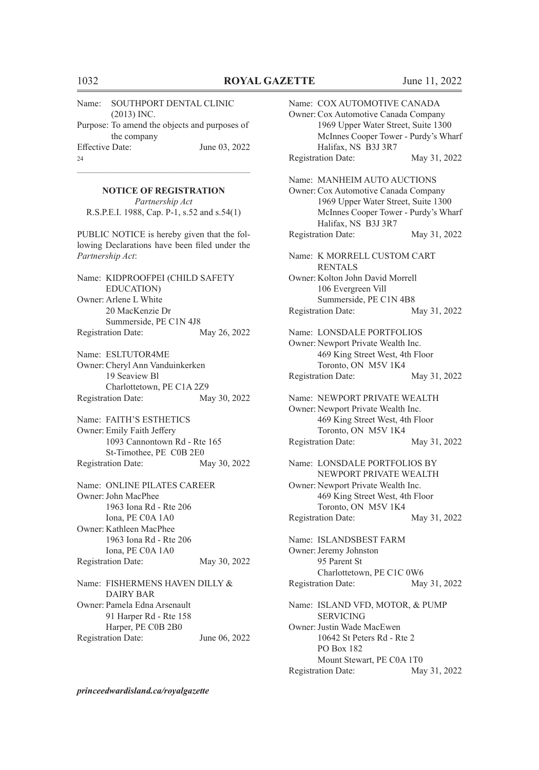Name: SOUTHPORT DENTAL CLINIC (2013) INC. Purpose: To amend the objects and purposes of the company Effective Date: June 03, 2022 24

# $\mathcal{L}_\text{max} = \mathcal{L}_\text{max} = \mathcal{L}_\text{max} = \mathcal{L}_\text{max} = \mathcal{L}_\text{max} = \mathcal{L}_\text{max} = \mathcal{L}_\text{max} = \mathcal{L}_\text{max} = \mathcal{L}_\text{max} = \mathcal{L}_\text{max} = \mathcal{L}_\text{max} = \mathcal{L}_\text{max} = \mathcal{L}_\text{max} = \mathcal{L}_\text{max} = \mathcal{L}_\text{max} = \mathcal{L}_\text{max} = \mathcal{L}_\text{max} = \mathcal{L}_\text{max} = \mathcal{$ **NOTICE OF REGISTRATION**

*Partnership Act* R.S.P.E.I. 1988, Cap. P-1, s.52 and s.54(1)

PUBLIC NOTICE is hereby given that the following Declarations have been filed under the *Partnership Act*:

Name: KIDPROOFPEI (CHILD SAFETY EDUCATION) Owner: Arlene L White 20 MacKenzie Dr Summerside, PE C1N 4J8 Registration Date: May 26, 2022

Name: ESLTUTOR4ME Owner: Cheryl Ann Vanduinkerken 19 Seaview Bl Charlottetown, PE C1A 2Z9 Registration Date: May 30, 2022

Name: FAITH'S ESTHETICS Owner: Emily Faith Jeffery 1093 Cannontown Rd - Rte 165 St-Timothee, PE C0B 2E0 Registration Date: May 30, 2022

Name: ONLINE PILATES CAREER Owner:John MacPhee 1963 Iona Rd - Rte 206 Iona, PE C0A 1A0 Owner: Kathleen MacPhee 1963 Iona Rd - Rte 206 Iona, PE C0A 1A0 Registration Date: May 30, 2022

Name: FISHERMENS HAVEN DILLY & DAIRY BAR Owner: Pamela Edna Arsenault 91 Harper Rd - Rte 158 Harper, PE C0B 2B0 Registration Date: June 06, 2022

Name: COX AUTOMOTIVE CANADA Owner: Cox Automotive Canada Company 1969 Upper Water Street, Suite 1300 McInnes Cooper Tower - Purdy's Wharf Halifax, NS B3J 3R7 Registration Date: May 31, 2022 Name: MANHEIM AUTO AUCTIONS Owner: Cox Automotive Canada Company 1969 Upper Water Street, Suite 1300 McInnes Cooper Tower - Purdy's Wharf Halifax, NS B3J 3R7 Registration Date: May 31, 2022 Name: K MORRELL CUSTOM CART RENTALS Owner: Kolton John David Morrell 106 Evergreen Vill Summerside, PE C1N 4B8 Registration Date: May 31, 2022 Name: LONSDALE PORTFOLIOS Owner: Newport Private Wealth Inc. 469 King Street West, 4th Floor Toronto, ON M5V 1K4 Registration Date: May 31, 2022 Name: NEWPORT PRIVATE WEALTH Owner: Newport Private Wealth Inc. 469 King Street West, 4th Floor Toronto, ON M5V 1K4 Registration Date: May 31, 2022 Name: LONSDALE PORTFOLIOS BY NEWPORT PRIVATE WEALTH Owner: Newport Private Wealth Inc. 469 King Street West, 4th Floor Toronto, ON M5V 1K4 Registration Date: May 31, 2022 Name: ISLANDSBEST FARM Owner: Jeremy Johnston 95 Parent St Charlottetown, PE C1C 0W6 Registration Date: May 31, 2022 Name: ISLAND VFD, MOTOR, & PUMP SERVICING Owner:Justin Wade MacEwen 10642 St Peters Rd - Rte 2 PO Box 182 Mount Stewart, PE C0A 1T0 Registration Date: May 31, 2022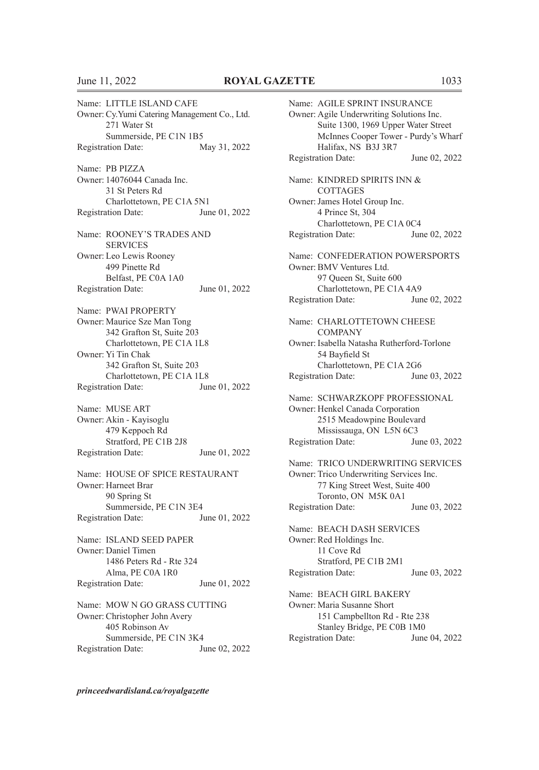Name: LITTLE ISLAND CAFE Owner: Cy.Yumi Catering Management Co., Ltd. 271 Water St Summerside, PE C1N 1B5 Registration Date: May 31, 2022 Name: PB PIZZA Owner: 14076044 Canada Inc. 31 St Peters Rd Charlottetown, PE C1A 5N1 Registration Date: June 01, 2022 Name: ROONEY'S TRADES AND **SERVICES** Owner: Leo Lewis Rooney 499 Pinette Rd Belfast, PE C0A 1A0 Registration Date: June 01, 2022 Name: PWAI PROPERTY Owner: Maurice Sze Man Tong 342 Grafton St, Suite 203 Charlottetown, PE C1A 1L8 Owner: Yi Tin Chak 342 Grafton St, Suite 203 Charlottetown, PE C1A 1L8 Registration Date: June 01, 2022 Name: MUSE ART Owner: Akin - Kayisoglu 479 Keppoch Rd Stratford, PE C1B 2J8 Registration Date: June 01, 2022 Name: HOUSE OF SPICE RESTAURANT Owner: Harneet Brar 90 Spring St Summerside, PE C1N 3E4 Registration Date: June 01, 2022 Name: ISLAND SEED PAPER Owner: Daniel Timen 1486 Peters Rd - Rte 324 Alma, PE C0A 1R0 Registration Date: June 01, 2022 Name: MOW N GO GRASS CUTTING Owner: Christopher John Avery 405 Robinson Av

Summerside, PE C1N 3K4 Registration Date: June 02, 2022

Name: AGILE SPRINT INSURANCE Owner: Agile Underwriting Solutions Inc. Suite 1300, 1969 Upper Water Street McInnes Cooper Tower - Purdy's Wharf Halifax, NS B3J 3R7 Registration Date: June 02, 2022 Name: KINDRED SPIRITS INN & **COTTAGES** Owner:James Hotel Group Inc. 4 Prince St, 304 Charlottetown, PE C1A 0C4 Registration Date: June 02, 2022 Name: CONFEDERATION POWERSPORTS Owner: BMV Ventures Ltd. 97 Queen St, Suite 600 Charlottetown, PE C1A 4A9 Registration Date: June 02, 2022 Name: CHARLOTTETOWN CHEESE COMPANY Owner: Isabella Natasha Rutherford-Torlone 54 Bayfield St Charlottetown, PE C1A 2G6 Registration Date: June 03, 2022 Name: SCHWARZKOPF PROFESSIONAL Owner: Henkel Canada Corporation 2515 Meadowpine Boulevard Mississauga, ON L5N 6C3 Registration Date: June 03, 2022 Name: TRICO UNDERWRITING SERVICES Owner: Trico Underwriting Services Inc. 77 King Street West, Suite 400 Toronto, ON M5K 0A1 Registration Date: June 03, 2022 Name: BEACH DASH SERVICES Owner: Red Holdings Inc. 11 Cove Rd Stratford, PE C1B 2M1 Registration Date: June 03, 2022 Name: BEACH GIRL BAKERY Owner: Maria Susanne Short 151 Campbellton Rd - Rte 238 Stanley Bridge, PE C0B 1M0 Registration Date: June 04, 2022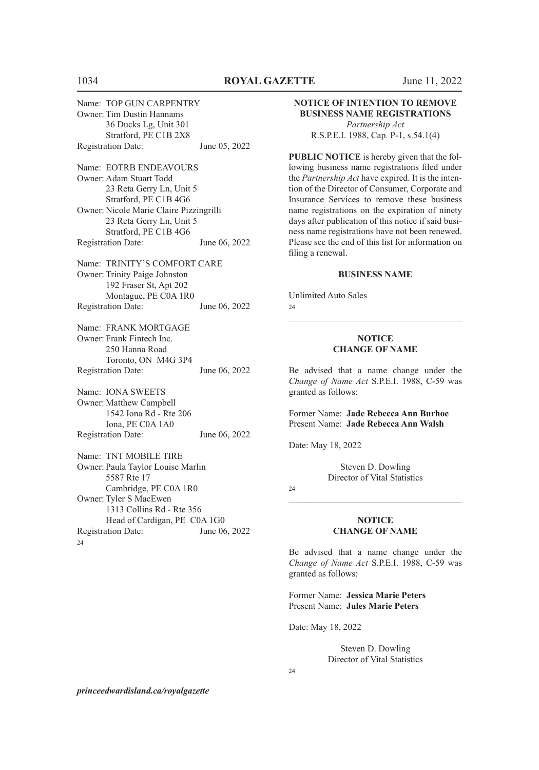Name: TOP GUN CARPENTRY Owner: Tim Dustin Hannams 36 Ducks Lg, Unit 301 Stratford, PE C1B 2X8 Registration Date: June 05, 2022 Name: EOTRB ENDEAVOURS Owner: Adam Stuart Todd 23 Reta Gerry Ln, Unit 5 Stratford, PE C1B 4G6 Owner: Nicole Marie Claire Pizzingrilli 23 Reta Gerry Ln, Unit 5 Stratford, PE C1B 4G6 Registration Date: June 06, 2022 Name: TRINITY'S COMFORT CARE Owner: Trinity Paige Johnston 192 Fraser St, Apt 202 Montague, PE C0A 1R0 Registration Date: June 06, 2022 Name: FRANK MORTGAGE Owner: Frank Fintech Inc. 250 Hanna Road Toronto, ON M4G 3P4 Registration Date: June 06, 2022 Name: IONA SWEETS Owner: Matthew Campbell 1542 Iona Rd - Rte 206 Iona, PE C0A 1A0 Registration Date: June 06, 2022 Name: TNT MOBILE TIRE Owner: Paula Taylor Louise Marlin 5587 Rte 17 Cambridge, PE C0A 1R0 Owner: Tyler S MacEwen 1313 Collins Rd - Rte 356 Head of Cardigan, PE C0A 1G0 Registration Date: June 06, 2022  $24$ 

#### **NOTICE OF INTENTION TO REMOVE BUSINESS NAME REGISTRATIONS**

*Partnership Act* R.S.P.E.I. 1988, Cap. P-1, s.54.1(4)

**PUBLIC NOTICE** is hereby given that the following business name registrations filed under the *Partnership Act* have expired. It is the intention of the Director of Consumer, Corporate and Insurance Services to remove these business name registrations on the expiration of ninety days after publication of this notice if said business name registrations have not been renewed. Please see the end of this list for information on filing a renewal.

#### **BUSINESS NAME**

Unlimited Auto Sales  $24$ 

#### **NOTICE CHANGE OF NAME**

 $\mathcal{L}_\text{max} = \mathcal{L}_\text{max} = \mathcal{L}_\text{max} = \mathcal{L}_\text{max} = \mathcal{L}_\text{max} = \mathcal{L}_\text{max} = \mathcal{L}_\text{max} = \mathcal{L}_\text{max} = \mathcal{L}_\text{max} = \mathcal{L}_\text{max} = \mathcal{L}_\text{max} = \mathcal{L}_\text{max} = \mathcal{L}_\text{max} = \mathcal{L}_\text{max} = \mathcal{L}_\text{max} = \mathcal{L}_\text{max} = \mathcal{L}_\text{max} = \mathcal{L}_\text{max} = \mathcal{$ 

Be advised that a name change under the *Change of Name Act* S.P.E.I. 1988, C-59 was granted as follows:

Former Name: **Jade Rebecca Ann Burhoe** Present Name: **Jade Rebecca Ann Walsh**

Date: May 18, 2022

Steven D. Dowling Director of Vital Statistics

 $24$ 

#### **NOTICE CHANGE OF NAME**

 $\mathcal{L}_\text{max} = \mathcal{L}_\text{max} = \mathcal{L}_\text{max} = \mathcal{L}_\text{max} = \mathcal{L}_\text{max} = \mathcal{L}_\text{max} = \mathcal{L}_\text{max} = \mathcal{L}_\text{max} = \mathcal{L}_\text{max} = \mathcal{L}_\text{max} = \mathcal{L}_\text{max} = \mathcal{L}_\text{max} = \mathcal{L}_\text{max} = \mathcal{L}_\text{max} = \mathcal{L}_\text{max} = \mathcal{L}_\text{max} = \mathcal{L}_\text{max} = \mathcal{L}_\text{max} = \mathcal{$ 

Be advised that a name change under the *Change of Name Act* S.P.E.I. 1988, C-59 was granted as follows:

Former Name: **Jessica Marie Peters** Present Name: **Jules Marie Peters**

Date: May 18, 2022

Steven D. Dowling Director of Vital Statistics

 $24$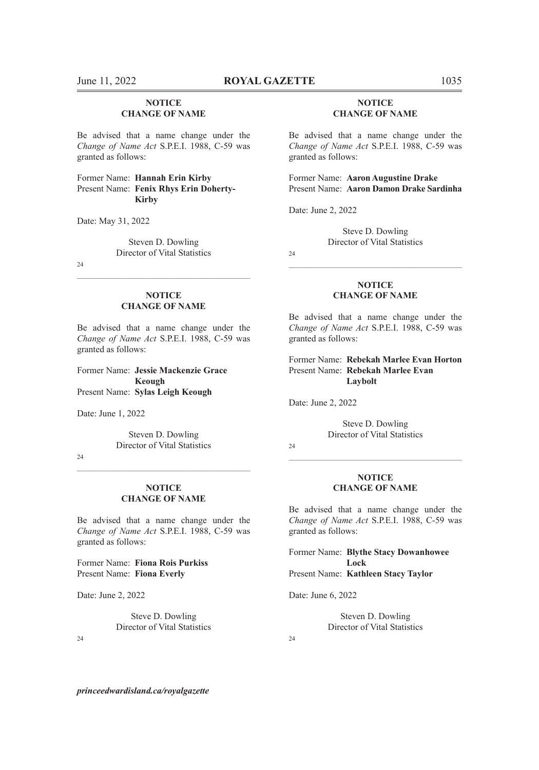### **NOTICE CHANGE OF NAME**

Be advised that a name change under the *Change of Name Act* S.P.E.I. 1988, C-59 was granted as follows:

Former Name: **Hannah Erin Kirby** Present Name: **Fenix Rhys Erin Doherty-Kirby**

Date: May 31, 2022

Steven D. Dowling Director of Vital Statistics

 $24$ 

#### **NOTICE CHANGE OF NAME**

 $\mathcal{L}_\text{max} = \mathcal{L}_\text{max} = \mathcal{L}_\text{max} = \mathcal{L}_\text{max} = \mathcal{L}_\text{max} = \mathcal{L}_\text{max} = \mathcal{L}_\text{max} = \mathcal{L}_\text{max} = \mathcal{L}_\text{max} = \mathcal{L}_\text{max} = \mathcal{L}_\text{max} = \mathcal{L}_\text{max} = \mathcal{L}_\text{max} = \mathcal{L}_\text{max} = \mathcal{L}_\text{max} = \mathcal{L}_\text{max} = \mathcal{L}_\text{max} = \mathcal{L}_\text{max} = \mathcal{$ 

Be advised that a name change under the *Change of Name Act* S.P.E.I. 1988, C-59 was granted as follows:

Former Name: **Jessie Mackenzie Grace Keough** Present Name: **Sylas Leigh Keough**

Date: June 1, 2022

Steven D. Dowling Director of Vital Statistics

 $\mathcal{L}_\text{max} = \mathcal{L}_\text{max} = \mathcal{L}_\text{max} = \mathcal{L}_\text{max} = \mathcal{L}_\text{max} = \mathcal{L}_\text{max} = \mathcal{L}_\text{max} = \mathcal{L}_\text{max} = \mathcal{L}_\text{max} = \mathcal{L}_\text{max} = \mathcal{L}_\text{max} = \mathcal{L}_\text{max} = \mathcal{L}_\text{max} = \mathcal{L}_\text{max} = \mathcal{L}_\text{max} = \mathcal{L}_\text{max} = \mathcal{L}_\text{max} = \mathcal{L}_\text{max} = \mathcal{$ 

24

#### **NOTICE CHANGE OF NAME**

Be advised that a name change under the *Change of Name Act* S.P.E.I. 1988, C-59 was granted as follows:

Former Name: **Fiona Rois Purkiss** Present Name: **Fiona Everly**

Date: June 2, 2022

Steve D. Dowling Director of Vital Statistics

 $24$ 

#### **NOTICE CHANGE OF NAME**

Be advised that a name change under the *Change of Name Act* S.P.E.I. 1988, C-59 was granted as follows:

Former Name: **Aaron Augustine Drake** Present Name: **Aaron Damon Drake Sardinha**

Date: June 2, 2022

Steve D. Dowling Director of Vital Statistics

 $24$ 

#### **NOTICE CHANGE OF NAME**

 $\mathcal{L}_\text{max} = \mathcal{L}_\text{max} = \mathcal{L}_\text{max} = \mathcal{L}_\text{max} = \mathcal{L}_\text{max} = \mathcal{L}_\text{max} = \mathcal{L}_\text{max} = \mathcal{L}_\text{max} = \mathcal{L}_\text{max} = \mathcal{L}_\text{max} = \mathcal{L}_\text{max} = \mathcal{L}_\text{max} = \mathcal{L}_\text{max} = \mathcal{L}_\text{max} = \mathcal{L}_\text{max} = \mathcal{L}_\text{max} = \mathcal{L}_\text{max} = \mathcal{L}_\text{max} = \mathcal{$ 

Be advised that a name change under the *Change of Name Act* S.P.E.I. 1988, C-59 was granted as follows:

#### Former Name: **Rebekah Marlee Evan Horton** Present Name: **Rebekah Marlee Evan Laybolt**

Date: June 2, 2022

Steve D. Dowling Director of Vital Statistics

 $24$ 

#### **NOTICE CHANGE OF NAME**

 $\mathcal{L}_\text{max} = \mathcal{L}_\text{max} = \mathcal{L}_\text{max} = \mathcal{L}_\text{max} = \mathcal{L}_\text{max} = \mathcal{L}_\text{max} = \mathcal{L}_\text{max} = \mathcal{L}_\text{max} = \mathcal{L}_\text{max} = \mathcal{L}_\text{max} = \mathcal{L}_\text{max} = \mathcal{L}_\text{max} = \mathcal{L}_\text{max} = \mathcal{L}_\text{max} = \mathcal{L}_\text{max} = \mathcal{L}_\text{max} = \mathcal{L}_\text{max} = \mathcal{L}_\text{max} = \mathcal{$ 

Be advised that a name change under the *Change of Name Act* S.P.E.I. 1988, C-59 was granted as follows:

Former Name: **Blythe Stacy Dowanhowee Lock** Present Name: **Kathleen Stacy Taylor**

Date: June 6, 2022

Steven D. Dowling Director of Vital Statistics

 $24$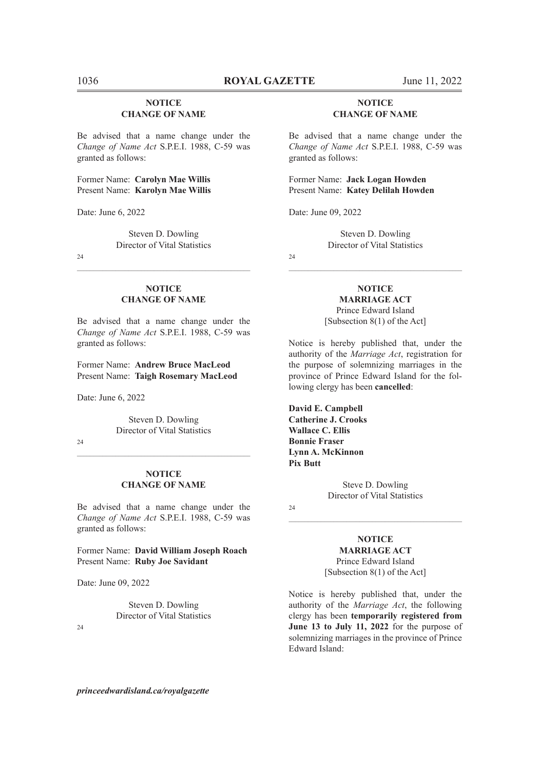#### **NOTICE CHANGE OF NAME**

Be advised that a name change under the *Change of Name Act* S.P.E.I. 1988, C-59 was granted as follows:

Former Name: **Carolyn Mae Willis** Present Name: **Karolyn Mae Willis**

Date: June 6, 2022

Steven D. Dowling Director of Vital Statistics

24

#### **NOTICE CHANGE OF NAME**

 $\mathcal{L}_\text{max} = \mathcal{L}_\text{max} = \mathcal{L}_\text{max} = \mathcal{L}_\text{max} = \mathcal{L}_\text{max} = \mathcal{L}_\text{max} = \mathcal{L}_\text{max} = \mathcal{L}_\text{max} = \mathcal{L}_\text{max} = \mathcal{L}_\text{max} = \mathcal{L}_\text{max} = \mathcal{L}_\text{max} = \mathcal{L}_\text{max} = \mathcal{L}_\text{max} = \mathcal{L}_\text{max} = \mathcal{L}_\text{max} = \mathcal{L}_\text{max} = \mathcal{L}_\text{max} = \mathcal{$ 

Be advised that a name change under the *Change of Name Act* S.P.E.I. 1988, C-59 was granted as follows:

Former Name: **Andrew Bruce MacLeod** Present Name: **Taigh Rosemary MacLeod**

Date: June 6, 2022

Steven D. Dowling Director of Vital Statistics

 $24$ 

#### **NOTICE CHANGE OF NAME**

Be advised that a name change under the *Change of Name Act* S.P.E.I. 1988, C-59 was granted as follows:

Former Name: **David William Joseph Roach** Present Name: **Ruby Joe Savidant**

Date: June 09, 2022

Steven D. Dowling Director of Vital Statistics

 $24$ 

#### **NOTICE CHANGE OF NAME**

Be advised that a name change under the *Change of Name Act* S.P.E.I. 1988, C-59 was granted as follows:

Former Name: **Jack Logan Howden** Present Name: **Katey Delilah Howden**

Date: June 09, 2022

Steven D. Dowling Director of Vital Statistics

 $\mathcal{L}_\text{max} = \mathcal{L}_\text{max} = \mathcal{L}_\text{max} = \mathcal{L}_\text{max} = \mathcal{L}_\text{max} = \mathcal{L}_\text{max} = \mathcal{L}_\text{max} = \mathcal{L}_\text{max} = \mathcal{L}_\text{max} = \mathcal{L}_\text{max} = \mathcal{L}_\text{max} = \mathcal{L}_\text{max} = \mathcal{L}_\text{max} = \mathcal{L}_\text{max} = \mathcal{L}_\text{max} = \mathcal{L}_\text{max} = \mathcal{L}_\text{max} = \mathcal{L}_\text{max} = \mathcal{$ 

24

# **NOTICE**

**MARRIAGE ACT** Prince Edward Island [Subsection 8(1) of the Act]

Notice is hereby published that, under the authority of the *Marriage Act*, registration for the purpose of solemnizing marriages in the province of Prince Edward Island for the following clergy has been **cancelled**:

**David E. Campbell Catherine J. Crooks Wallace C. Ellis Bonnie Fraser Lynn A. McKinnon Pix Butt**

> Steve D. Dowling Director of Vital Statistics

24

## **NOTICE MARRIAGE ACT**

 $\mathcal{L}_\text{max} = \mathcal{L}_\text{max} = \mathcal{L}_\text{max} = \mathcal{L}_\text{max} = \mathcal{L}_\text{max} = \mathcal{L}_\text{max} = \mathcal{L}_\text{max} = \mathcal{L}_\text{max} = \mathcal{L}_\text{max} = \mathcal{L}_\text{max} = \mathcal{L}_\text{max} = \mathcal{L}_\text{max} = \mathcal{L}_\text{max} = \mathcal{L}_\text{max} = \mathcal{L}_\text{max} = \mathcal{L}_\text{max} = \mathcal{L}_\text{max} = \mathcal{L}_\text{max} = \mathcal{$ 

Prince Edward Island [Subsection 8(1) of the Act]

Notice is hereby published that, under the authority of the *Marriage Act*, the following clergy has been **temporarily registered from June 13 to July 11, 2022** for the purpose of solemnizing marriages in the province of Prince Edward Island: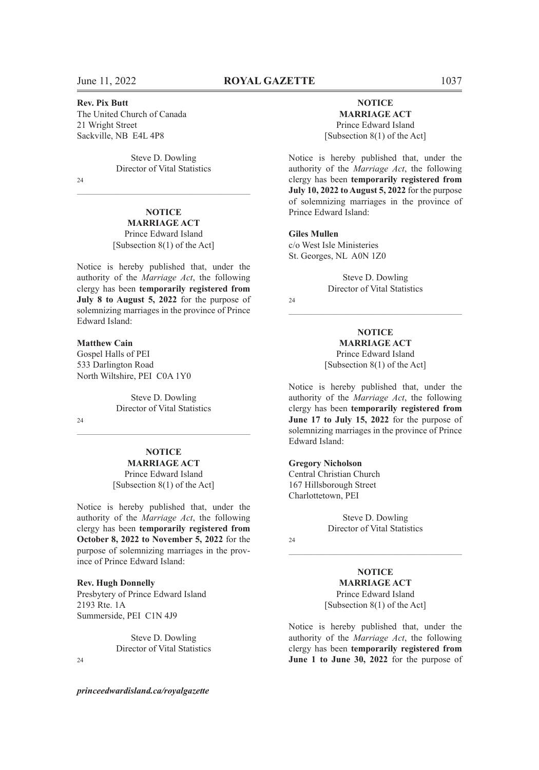#### **Rev. Pix Butt**

The United Church of Canada 21 Wright Street Sackville, NB E4L 4P8

> Steve D. Dowling Director of Vital Statistics

 $\mathcal{L}_\text{max} = \mathcal{L}_\text{max} = \mathcal{L}_\text{max} = \mathcal{L}_\text{max} = \mathcal{L}_\text{max} = \mathcal{L}_\text{max} = \mathcal{L}_\text{max} = \mathcal{L}_\text{max} = \mathcal{L}_\text{max} = \mathcal{L}_\text{max} = \mathcal{L}_\text{max} = \mathcal{L}_\text{max} = \mathcal{L}_\text{max} = \mathcal{L}_\text{max} = \mathcal{L}_\text{max} = \mathcal{L}_\text{max} = \mathcal{L}_\text{max} = \mathcal{L}_\text{max} = \mathcal{$ 

24

#### **NOTICE MARRIAGE ACT** Prince Edward Island [Subsection 8(1) of the Act]

Notice is hereby published that, under the authority of the *Marriage Act*, the following clergy has been **temporarily registered from July 8 to August 5, 2022** for the purpose of solemnizing marriages in the province of Prince Edward Island:

#### **Matthew Cain**

Gospel Halls of PEI 533 Darlington Road North Wiltshire, PEI C0A 1Y0

> Steve D. Dowling Director of Vital Statistics

 $24$ 

# **NOTICE**

 $\mathcal{L}_\text{max} = \mathcal{L}_\text{max} = \mathcal{L}_\text{max} = \mathcal{L}_\text{max} = \mathcal{L}_\text{max} = \mathcal{L}_\text{max} = \mathcal{L}_\text{max} = \mathcal{L}_\text{max} = \mathcal{L}_\text{max} = \mathcal{L}_\text{max} = \mathcal{L}_\text{max} = \mathcal{L}_\text{max} = \mathcal{L}_\text{max} = \mathcal{L}_\text{max} = \mathcal{L}_\text{max} = \mathcal{L}_\text{max} = \mathcal{L}_\text{max} = \mathcal{L}_\text{max} = \mathcal{$ 

**MARRIAGE ACT** Prince Edward Island [Subsection 8(1) of the Act]

Notice is hereby published that, under the authority of the *Marriage Act*, the following clergy has been **temporarily registered from October 8, 2022 to November 5, 2022** for the purpose of solemnizing marriages in the province of Prince Edward Island:

#### **Rev. Hugh Donnelly**

Presbytery of Prince Edward Island 2193 Rte. 1A Summerside, PEI C1N 4J9

> Steve D. Dowling Director of Vital Statistics

#### $24$

*princeedwardisland.ca/royalgazette*

#### **NOTICE MARRIAGE ACT** Prince Edward Island

[Subsection 8(1) of the Act]

Notice is hereby published that, under the authority of the *Marriage Act*, the following clergy has been **temporarily registered from July 10, 2022 to August 5, 2022** for the purpose of solemnizing marriages in the province of Prince Edward Island:

**Giles Mullen** c/o West Isle Ministeries St. Georges, NL A0N 1Z0

> Steve D. Dowling Director of Vital Statistics

#### $24$

**NOTICE MARRIAGE ACT** Prince Edward Island [Subsection 8(1) of the Act]

 $\mathcal{L}_\text{max} = \mathcal{L}_\text{max} = \mathcal{L}_\text{max} = \mathcal{L}_\text{max} = \mathcal{L}_\text{max} = \mathcal{L}_\text{max} = \mathcal{L}_\text{max} = \mathcal{L}_\text{max} = \mathcal{L}_\text{max} = \mathcal{L}_\text{max} = \mathcal{L}_\text{max} = \mathcal{L}_\text{max} = \mathcal{L}_\text{max} = \mathcal{L}_\text{max} = \mathcal{L}_\text{max} = \mathcal{L}_\text{max} = \mathcal{L}_\text{max} = \mathcal{L}_\text{max} = \mathcal{$ 

Notice is hereby published that, under the authority of the *Marriage Act*, the following clergy has been **temporarily registered from June 17 to July 15, 2022** for the purpose of solemnizing marriages in the province of Prince Edward Island:

#### **Gregory Nicholson**

Central Christian Church 167 Hillsborough Street Charlottetown, PEI

> Steve D. Dowling Director of Vital Statistics

 $\mathcal{L}_\text{max} = \mathcal{L}_\text{max} = \mathcal{L}_\text{max} = \mathcal{L}_\text{max} = \mathcal{L}_\text{max} = \mathcal{L}_\text{max} = \mathcal{L}_\text{max} = \mathcal{L}_\text{max} = \mathcal{L}_\text{max} = \mathcal{L}_\text{max} = \mathcal{L}_\text{max} = \mathcal{L}_\text{max} = \mathcal{L}_\text{max} = \mathcal{L}_\text{max} = \mathcal{L}_\text{max} = \mathcal{L}_\text{max} = \mathcal{L}_\text{max} = \mathcal{L}_\text{max} = \mathcal{$ 

#### $24$

**NOTICE MARRIAGE ACT** Prince Edward Island [Subsection 8(1) of the Act]

Notice is hereby published that, under the authority of the *Marriage Act*, the following clergy has been **temporarily registered from June 1 to June 30, 2022** for the purpose of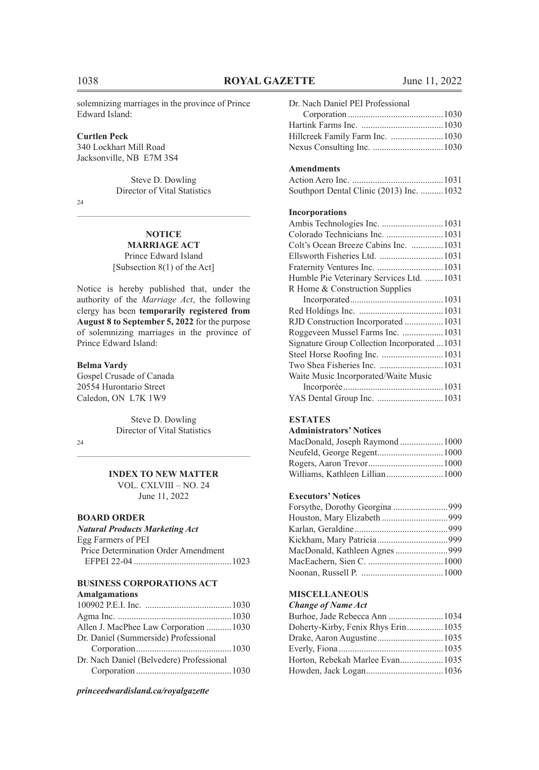solemnizing marriages in the province of Prince Edward Island:

#### **Curtlen Peck**

340 Lockhart Mill Road Jacksonville, NB E7M 3S4

> Steve D. Dowling Director of Vital Statistics

 $24$ 

#### **NOTICE MARRIAGE ACT**

Prince Edward Island [Subsection 8(1) of the Act]

Notice is hereby published that, under the authority of the *Marriage Act*, the following clergy has been **temporarily registered from August 8 to September 5, 2022** for the purpose of solemnizing marriages in the province of Prince Edward Island:

### **Belma Vardy**

Gospel Crusade of Canada 20554 Hurontario Street Caledon, ON L7K 1W9

> Steve D. Dowling Director of Vital Statistics

24

# $\mathcal{L}_\text{max} = \mathcal{L}_\text{max} = \mathcal{L}_\text{max} = \mathcal{L}_\text{max} = \mathcal{L}_\text{max} = \mathcal{L}_\text{max} = \mathcal{L}_\text{max} = \mathcal{L}_\text{max} = \mathcal{L}_\text{max} = \mathcal{L}_\text{max} = \mathcal{L}_\text{max} = \mathcal{L}_\text{max} = \mathcal{L}_\text{max} = \mathcal{L}_\text{max} = \mathcal{L}_\text{max} = \mathcal{L}_\text{max} = \mathcal{L}_\text{max} = \mathcal{L}_\text{max} = \mathcal{$ **INDEX TO NEW MATTER**

VOL. CXLVIII – NO. 24 June 11, 2022

#### **BOARD ORDER**

#### *Natural Products Marketing Act*

| Egg Farmers of PEI                  |  |
|-------------------------------------|--|
| Price Determination Order Amendment |  |
|                                     |  |

### **BUSINESS CORPORATIONS ACT**

#### **Amalgamations**

| Allen J. MacPhee Law Corporation 1030 |
|---------------------------------------|
|                                       |
|                                       |
|                                       |
|                                       |
|                                       |

*princeedwardisland.ca/royalgazette*

| Dr. Nach Daniel PEI Professional |  |
|----------------------------------|--|
|                                  |  |
|                                  |  |
|                                  |  |
|                                  |  |

#### **Amendments**

| Southport Dental Clinic (2013) Inc. 1032 |  |  |
|------------------------------------------|--|--|

#### **Incorporations**

| Ambis Technologies Inc.  1031                |
|----------------------------------------------|
| Colorado Technicians Inc.  1031              |
| Colt's Ocean Breeze Cabins Inc.  1031        |
| Ellsworth Fisheries Ltd. 1031                |
|                                              |
| Humble Pie Veterinary Services Ltd. 1031     |
| R Home & Construction Supplies               |
|                                              |
|                                              |
| RJD Construction Incorporated1031            |
| Roggeveen Mussel Farms Inc.  1031            |
| Signature Group Collection Incorporated 1031 |
| Steel Horse Roofing Inc.  1031               |
| Two Shea Fisheries Inc.  1031                |
| Waite Music Incorporated/Waite Music         |
|                                              |
| YAS Dental Group Inc. 1031                   |

# **ESTATES**

#### **Administrators' Notices**

| MacDonald, Joseph Raymond  1000 |  |
|---------------------------------|--|
|                                 |  |
|                                 |  |
|                                 |  |

#### **Executors' Notices**

#### **MISCELLANEOUS**

#### *Change of Name Act*

| Burhoe, Jade Rebecca Ann 1034      |  |
|------------------------------------|--|
| Doherty-Kirby, Fenix Rhys Erin1035 |  |
|                                    |  |
|                                    |  |
| Horton, Rebekah Marlee Evan 1035   |  |
|                                    |  |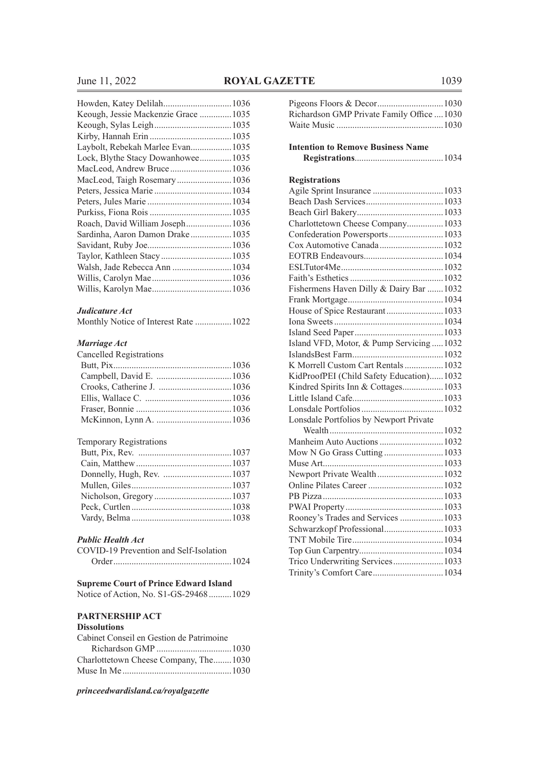# **June 11, 2022 ROYAL GAZETTE** 1039

| Keough, Jessie Mackenzie Grace 1035 |  |
|-------------------------------------|--|
|                                     |  |
|                                     |  |
| Laybolt, Rebekah Marlee Evan 1035   |  |
| Lock, Blythe Stacy Dowanhowee1035   |  |
|                                     |  |
|                                     |  |
|                                     |  |
|                                     |  |
|                                     |  |
| Roach, David William Joseph1036     |  |
| Sardinha, Aaron Damon Drake 1035    |  |
|                                     |  |
|                                     |  |
| Walsh, Jade Rebecca Ann  1034       |  |
|                                     |  |
|                                     |  |
|                                     |  |

### *Judicature Act*

| Monthly Notice of Interest Rate  1022 |  |
|---------------------------------------|--|
|---------------------------------------|--|

#### *Marriage Act*

| Cancelled Registrations |  |
|-------------------------|--|
|                         |  |
|                         |  |
|                         |  |
|                         |  |
|                         |  |
|                         |  |

#### Temporary Registrations

# *Public Health Act*

| Public Health Act                      |
|----------------------------------------|
| COVID-19 Prevention and Self-Isolation |
|                                        |

# **Supreme Court of Prince Edward Island**

Notice of Action, No. S1-GS-29468..........1029

#### **PARTNERSHIP ACT**

#### **Dissolutions**

| Cabinet Conseil en Gestion de Patrimoine |  |
|------------------------------------------|--|
|                                          |  |
| Charlottetown Cheese Company, The1030    |  |
|                                          |  |

| Richardson GMP Private Family Office  1030 |  |
|--------------------------------------------|--|
|                                            |  |
|                                            |  |
| <b>Intention to Remove Business Name</b>   |  |
|                                            |  |
|                                            |  |
| <b>Registrations</b>                       |  |
| Agile Sprint Insurance  1033               |  |
|                                            |  |
|                                            |  |
| Charlottetown Cheese Company 1033          |  |
| Confederation Powersports 1033             |  |
| Cox Automotive Canada  1032                |  |
|                                            |  |
|                                            |  |
|                                            |  |
| Fishermens Haven Dilly & Dairy Bar  1032   |  |
|                                            |  |
| House of Spice Restaurant1033              |  |
|                                            |  |
|                                            |  |
| Island VFD, Motor, & Pump Servicing  1032  |  |
|                                            |  |
| K Morrell Custom Cart Rentals 1032         |  |
| KidProofPEI (Child Safety Education)1032   |  |
| Kindred Spirits Inn & Cottages 1033        |  |
|                                            |  |
|                                            |  |
| Lonsdale Portfolios by Newport Private     |  |
|                                            |  |
| Manheim Auto Auctions 1032                 |  |
|                                            |  |
|                                            |  |
| Newport Private Wealth1032                 |  |
|                                            |  |
|                                            |  |
|                                            |  |
| Rooney's Trades and Services  1033         |  |
| Schwarzkopf Professional 1033              |  |
|                                            |  |
|                                            |  |
| Trico Underwriting Services 1033           |  |
|                                            |  |
|                                            |  |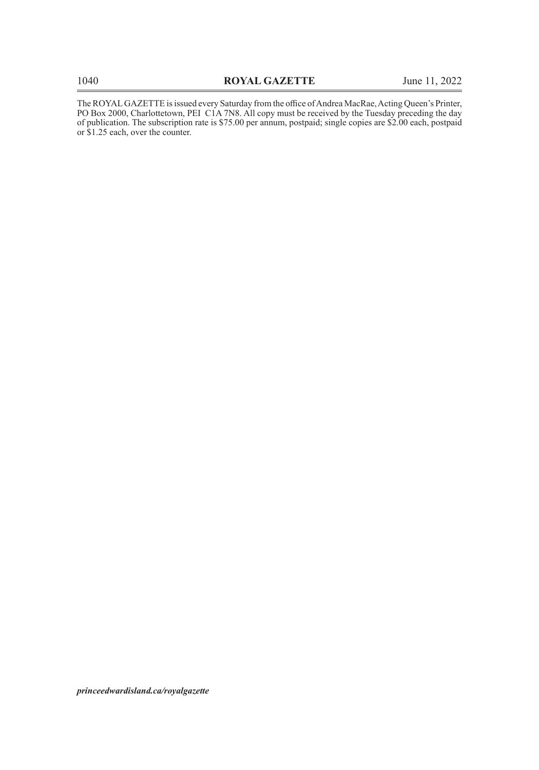The ROYAL GAZETTE is issued every Saturday from the office of Andrea MacRae, Acting Queen's Printer, PO Box 2000, Charlottetown, PEI C1A 7N8. All copy must be received by the Tuesday preceding the day of publication. The subscription rate is \$75.00 per annum, postpaid; single copies are \$2.00 each, postpaid or \$1.25 each, over the counter.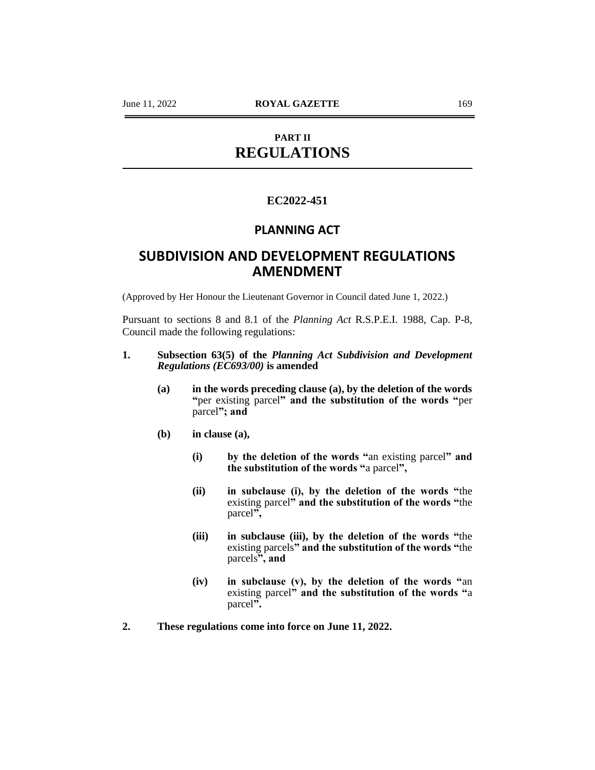# **PART II REGULATIONS**

# **EC2022-451**

# **PLANNING ACT**

# **SUBDIVISION AND DEVELOPMENT REGULATIONS AMENDMENT**

(Approved by Her Honour the Lieutenant Governor in Council dated June 1, 2022.)

Pursuant to sections 8 and 8.1 of the *Planning Act* R.S.P.E.I. 1988, Cap. P-8, Council made the following regulations:

# **1. Subsection 63(5) of the** *Planning Act Subdivision and Development Regulations (EC693/00)* **is amended**

- **(a) in the words preceding clause (a), by the deletion of the words "**per existing parcel**" and the substitution of the words "**per parcel**"; and**
- **(b) in clause (a),**
	- **(i) by the deletion of the words "**an existing parcel**" and the substitution of the words "**a parcel**",**
	- **(ii) in subclause (i), by the deletion of the words "**the existing parcel**" and the substitution of the words "**the parcel**",**
	- **(iii) in subclause (iii), by the deletion of the words "**the existing parcels**" and the substitution of the words "**the parcels**", and**
	- **(iv) in subclause (v), by the deletion of the words "**an existing parcel**" and the substitution of the words "**a parcel**".**
- **2. These regulations come into force on June 11, 2022.**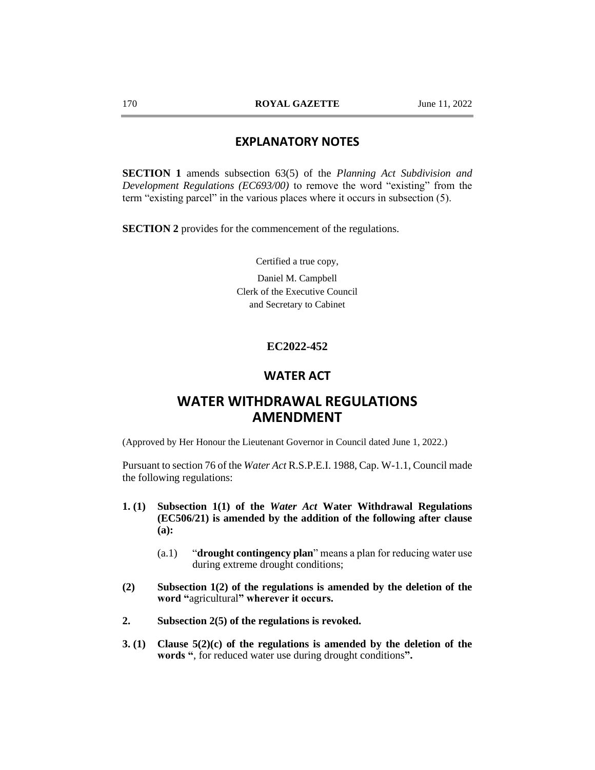# **EXPLANATORY NOTES**

**SECTION 1** amends subsection 63(5) of the *Planning Act Subdivision and Development Regulations (EC693/00)* to remove the word "existing" from the term "existing parcel" in the various places where it occurs in subsection (5).

**SECTION 2** provides for the commencement of the regulations.

Certified a true copy,

Daniel M. Campbell Clerk of the Executive Council and Secretary to Cabinet

## **EC2022-452**

# **WATER ACT**

# **WATER WITHDRAWAL REGULATIONS AMENDMENT**

(Approved by Her Honour the Lieutenant Governor in Council dated June 1, 2022.)

Pursuant to section 76 of the *Water Act* R.S.P.E.I. 1988, Cap. W-1.1, Council made the following regulations:

- **1. (1) Subsection 1(1) of the** *Water Act* **Water Withdrawal Regulations (EC506/21) is amended by the addition of the following after clause (a):**
	- (a.1) "**drought contingency plan**" means a plan for reducing water use during extreme drought conditions;
- **(2) Subsection 1(2) of the regulations is amended by the deletion of the word "**agricultural**" wherever it occurs.**
- **2. Subsection 2(5) of the regulations is revoked.**
- **3. (1) Clause 5(2)(c) of the regulations is amended by the deletion of the words "**, for reduced water use during drought conditions**".**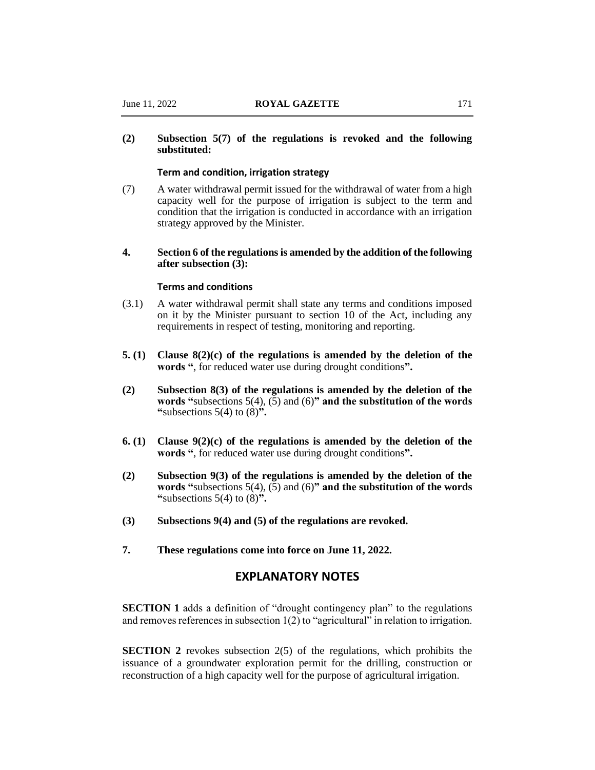# **(2) Subsection 5(7) of the regulations is revoked and the following substituted:**

### **Term and condition, irrigation strategy**

- (7) A water withdrawal permit issued for the withdrawal of water from a high capacity well for the purpose of irrigation is subject to the term and condition that the irrigation is conducted in accordance with an irrigation strategy approved by the Minister.
- **4. Section 6 of the regulations is amended by the addition of the following after subsection (3):**

### **Terms and conditions**

- (3.1) A water withdrawal permit shall state any terms and conditions imposed on it by the Minister pursuant to section 10 of the Act, including any requirements in respect of testing, monitoring and reporting.
- **5. (1) Clause 8(2)(c) of the regulations is amended by the deletion of the words "**, for reduced water use during drought conditions**".**
- **(2) Subsection 8(3) of the regulations is amended by the deletion of the words "**subsections 5(4), (5) and (6)**" and the substitution of the words "**subsections 5(4) to (8)**".**
- **6. (1) Clause 9(2)(c) of the regulations is amended by the deletion of the words "**, for reduced water use during drought conditions**".**
- **(2) Subsection 9(3) of the regulations is amended by the deletion of the words "**subsections 5(4), (5) and (6)**" and the substitution of the words "**subsections 5(4) to (8)**".**
- **(3) Subsections 9(4) and (5) of the regulations are revoked.**
- **7. These regulations come into force on June 11, 2022.**

# **EXPLANATORY NOTES**

**SECTION 1** adds a definition of "drought contingency plan" to the regulations and removes references in subsection 1(2) to "agricultural" in relation to irrigation.

**SECTION 2** revokes subsection 2(5) of the regulations, which prohibits the issuance of a groundwater exploration permit for the drilling, construction or reconstruction of a high capacity well for the purpose of agricultural irrigation.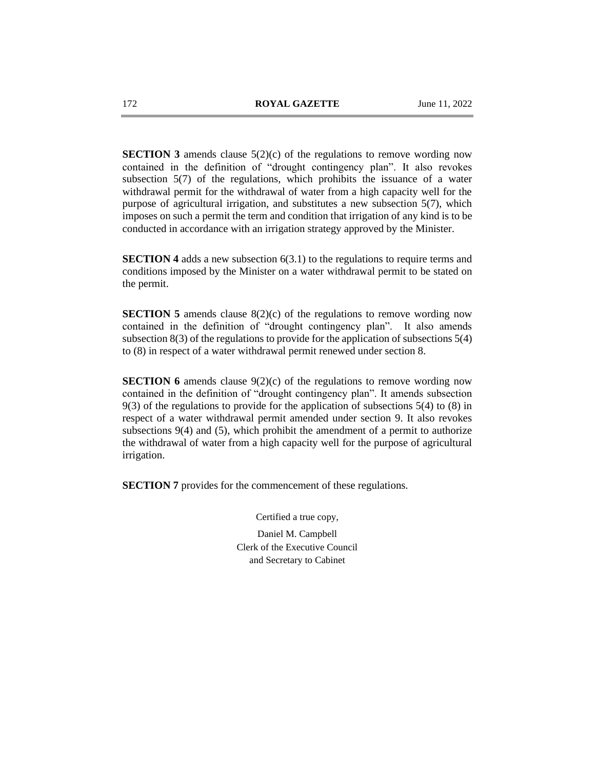**SECTION 3** amends clause 5(2)(c) of the regulations to remove wording now contained in the definition of "drought contingency plan". It also revokes subsection 5(7) of the regulations, which prohibits the issuance of a water withdrawal permit for the withdrawal of water from a high capacity well for the purpose of agricultural irrigation, and substitutes a new subsection 5(7), which imposes on such a permit the term and condition that irrigation of any kind is to be conducted in accordance with an irrigation strategy approved by the Minister.

**SECTION 4** adds a new subsection 6(3.1) to the regulations to require terms and conditions imposed by the Minister on a water withdrawal permit to be stated on the permit.

**SECTION 5** amends clause 8(2)(c) of the regulations to remove wording now contained in the definition of "drought contingency plan". It also amends subsection 8(3) of the regulations to provide for the application of subsections 5(4) to (8) in respect of a water withdrawal permit renewed under section 8.

**SECTION 6** amends clause  $9(2)(c)$  of the regulations to remove wording now contained in the definition of "drought contingency plan". It amends subsection 9(3) of the regulations to provide for the application of subsections 5(4) to (8) in respect of a water withdrawal permit amended under section 9. It also revokes subsections 9(4) and (5), which prohibit the amendment of a permit to authorize the withdrawal of water from a high capacity well for the purpose of agricultural irrigation.

**SECTION 7** provides for the commencement of these regulations.

Certified a true copy, Daniel M. Campbell Clerk of the Executive Council and Secretary to Cabinet